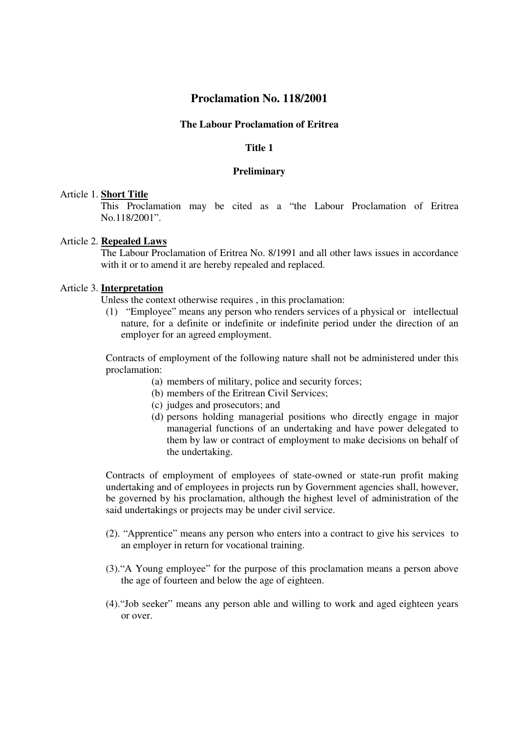# **Proclamation No. 118/2001**

### **The Labour Proclamation of Eritrea**

# **Title 1**

### **Preliminary**

#### Article 1. **Short Title**

This Proclamation may be cited as a "the Labour Proclamation of Eritrea No.118/2001".

#### Article 2. **Repealed Laws**

The Labour Proclamation of Eritrea No. 8/1991 and all other laws issues in accordance with it or to amend it are hereby repealed and replaced.

## Article 3. **Interpretation**

Unless the context otherwise requires , in this proclamation:

(1) "Employee" means any person who renders services of a physical or intellectual nature, for a definite or indefinite or indefinite period under the direction of an employer for an agreed employment.

Contracts of employment of the following nature shall not be administered under this proclamation:

- (a) members of military, police and security forces;
- (b) members of the Eritrean Civil Services;
- (c) judges and prosecutors; and
- (d) persons holding managerial positions who directly engage in major managerial functions of an undertaking and have power delegated to them by law or contract of employment to make decisions on behalf of the undertaking.

Contracts of employment of employees of state-owned or state-run profit making undertaking and of employees in projects run by Government agencies shall, however, be governed by his proclamation, although the highest level of administration of the said undertakings or projects may be under civil service.

- (2). "Apprentice" means any person who enters into a contract to give his services to an employer in return for vocational training.
- (3)."A Young employee" for the purpose of this proclamation means a person above the age of fourteen and below the age of eighteen.
- (4)."Job seeker" means any person able and willing to work and aged eighteen years or over.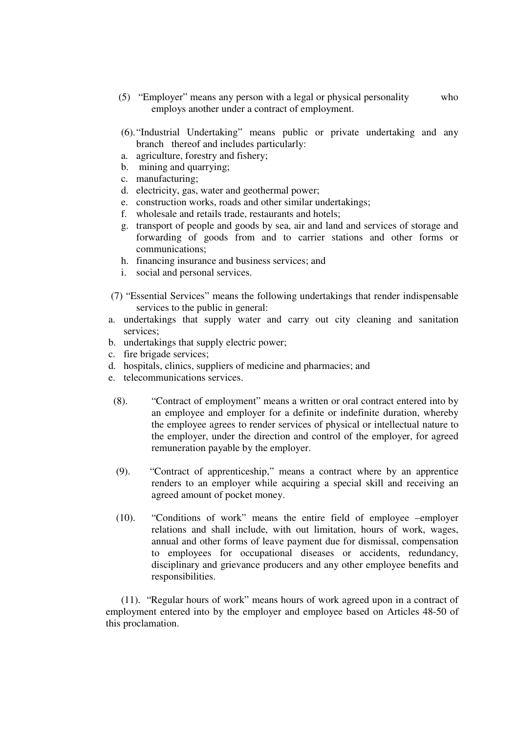- (5) "Employer" means any person with a legal or physical personality who employs another under a contract of employment.
- (6)."Industrial Undertaking" means public or private undertaking and any branch thereof and includes particularly:
- a. agriculture, forestry and fishery;
- b. mining and quarrying;
- c. manufacturing;
- d. electricity, gas, water and geothermal power;
- e. construction works, roads and other similar undertakings;
- f. wholesale and retails trade, restaurants and hotels;
- g. transport of people and goods by sea, air and land and services of storage and forwarding of goods from and to carrier stations and other forms or communications;
- h. financing insurance and business services; and
- i. social and personal services.
- (7) "Essential Services" means the following undertakings that render indispensable services to the public in general:
- a. undertakings that supply water and carry out city cleaning and sanitation services;
- b. undertakings that supply electric power;
- c. fire brigade services;
- d. hospitals, clinics, suppliers of medicine and pharmacies; and
- e. telecommunications services.
	- (8). "Contract of employment" means a written or oral contract entered into by an employee and employer for a definite or indefinite duration, whereby the employee agrees to render services of physical or intellectual nature to the employer, under the direction and control of the employer, for agreed remuneration payable by the employer.
	- (9). "Contract of apprenticeship," means a contract where by an apprentice renders to an employer while acquiring a special skill and receiving an agreed amount of pocket money.
	- (10). "Conditions of work" means the entire field of employee –employer relations and shall include, with out limitation, hours of work, wages, annual and other forms of leave payment due for dismissal, compensation to employees for occupational diseases or accidents, redundancy, disciplinary and grievance producers and any other employee benefits and responsibilities.

(11). "Regular hours of work" means hours of work agreed upon in a contract of employment entered into by the employer and employee based on Articles 48-50 of this proclamation.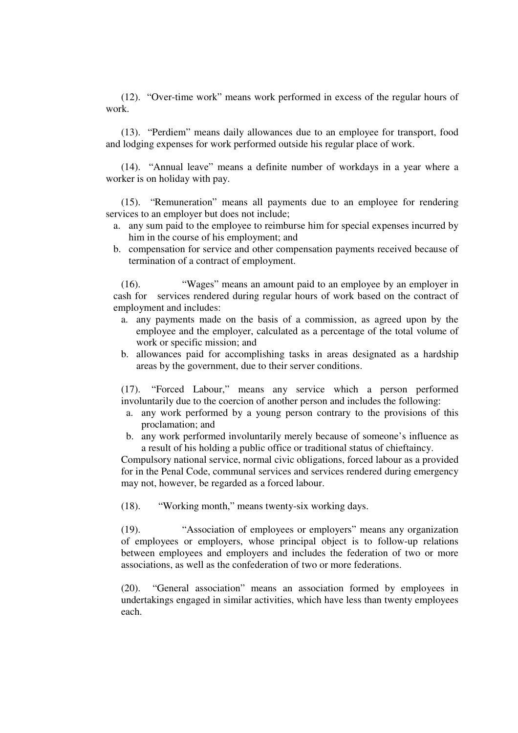(12). "Over-time work" means work performed in excess of the regular hours of work.

(13). "Perdiem" means daily allowances due to an employee for transport, food and lodging expenses for work performed outside his regular place of work.

(14). "Annual leave" means a definite number of workdays in a year where a worker is on holiday with pay.

(15). "Remuneration" means all payments due to an employee for rendering services to an employer but does not include;

- a. any sum paid to the employee to reimburse him for special expenses incurred by him in the course of his employment; and
- b. compensation for service and other compensation payments received because of termination of a contract of employment.

(16). "Wages" means an amount paid to an employee by an employer in cash for services rendered during regular hours of work based on the contract of employment and includes:

- a. any payments made on the basis of a commission, as agreed upon by the employee and the employer, calculated as a percentage of the total volume of work or specific mission; and
- b. allowances paid for accomplishing tasks in areas designated as a hardship areas by the government, due to their server conditions.

(17). "Forced Labour," means any service which a person performed involuntarily due to the coercion of another person and includes the following:

- a. any work performed by a young person contrary to the provisions of this proclamation; and
- b. any work performed involuntarily merely because of someone's influence as a result of his holding a public office or traditional status of chieftaincy.

Compulsory national service, normal civic obligations, forced labour as a provided for in the Penal Code, communal services and services rendered during emergency may not, however, be regarded as a forced labour.

(18). "Working month," means twenty-six working days.

(19). "Association of employees or employers" means any organization of employees or employers, whose principal object is to follow-up relations between employees and employers and includes the federation of two or more associations, as well as the confederation of two or more federations.

(20). "General association" means an association formed by employees in undertakings engaged in similar activities, which have less than twenty employees each.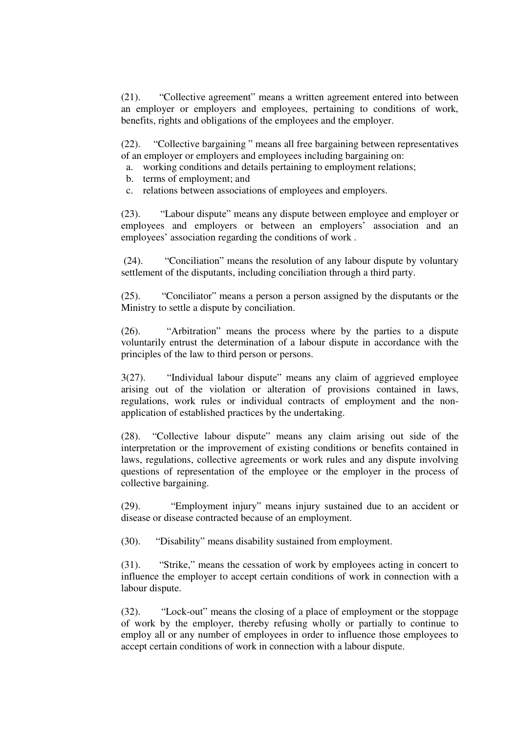(21). "Collective agreement" means a written agreement entered into between an employer or employers and employees, pertaining to conditions of work, benefits, rights and obligations of the employees and the employer.

(22). "Collective bargaining " means all free bargaining between representatives of an employer or employers and employees including bargaining on:

- a. working conditions and details pertaining to employment relations;
- b. terms of employment; and
- c. relations between associations of employees and employers.

(23). "Labour dispute" means any dispute between employee and employer or employees and employers or between an employers' association and an employees' association regarding the conditions of work .

(24). "Conciliation" means the resolution of any labour dispute by voluntary settlement of the disputants, including conciliation through a third party.

(25). "Conciliator" means a person a person assigned by the disputants or the Ministry to settle a dispute by conciliation.

(26). "Arbitration" means the process where by the parties to a dispute voluntarily entrust the determination of a labour dispute in accordance with the principles of the law to third person or persons.

3(27). "Individual labour dispute" means any claim of aggrieved employee arising out of the violation or alteration of provisions contained in laws, regulations, work rules or individual contracts of employment and the nonapplication of established practices by the undertaking.

(28). "Collective labour dispute" means any claim arising out side of the interpretation or the improvement of existing conditions or benefits contained in laws, regulations, collective agreements or work rules and any dispute involving questions of representation of the employee or the employer in the process of collective bargaining.

(29). "Employment injury" means injury sustained due to an accident or disease or disease contracted because of an employment.

(30). "Disability" means disability sustained from employment.

(31). "Strike," means the cessation of work by employees acting in concert to influence the employer to accept certain conditions of work in connection with a labour dispute.

(32). "Lock-out" means the closing of a place of employment or the stoppage of work by the employer, thereby refusing wholly or partially to continue to employ all or any number of employees in order to influence those employees to accept certain conditions of work in connection with a labour dispute.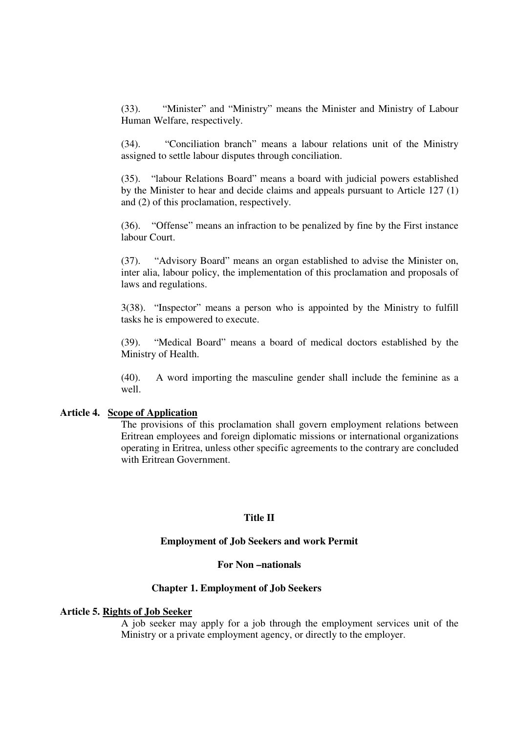(33). "Minister" and "Ministry" means the Minister and Ministry of Labour Human Welfare, respectively.

(34). "Conciliation branch" means a labour relations unit of the Ministry assigned to settle labour disputes through conciliation.

(35). "labour Relations Board" means a board with judicial powers established by the Minister to hear and decide claims and appeals pursuant to Article 127 (1) and (2) of this proclamation, respectively.

(36). "Offense" means an infraction to be penalized by fine by the First instance labour Court.

(37). "Advisory Board" means an organ established to advise the Minister on, inter alia, labour policy, the implementation of this proclamation and proposals of laws and regulations.

3(38). "Inspector" means a person who is appointed by the Ministry to fulfill tasks he is empowered to execute.

(39). "Medical Board" means a board of medical doctors established by the Ministry of Health.

(40). A word importing the masculine gender shall include the feminine as a well.

#### **Article 4. Scope of Application**

The provisions of this proclamation shall govern employment relations between Eritrean employees and foreign diplomatic missions or international organizations operating in Eritrea, unless other specific agreements to the contrary are concluded with Eritrean Government.

### **Title II**

### **Employment of Job Seekers and work Permit**

#### **For Non –nationals**

### **Chapter 1. Employment of Job Seekers**

#### **Article 5. Rights of Job Seeker**

A job seeker may apply for a job through the employment services unit of the Ministry or a private employment agency, or directly to the employer.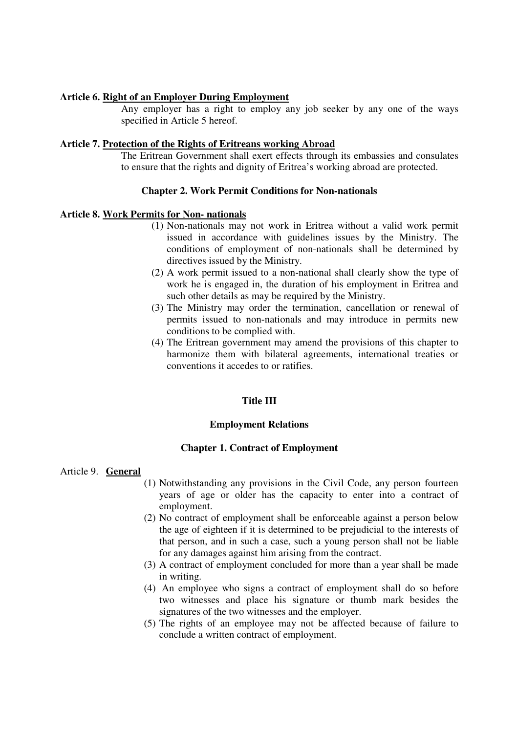### **Article 6. Right of an Employer During Employment**

Any employer has a right to employ any job seeker by any one of the ways specified in Article 5 hereof.

### **Article 7. Protection of the Rights of Eritreans working Abroad**

The Eritrean Government shall exert effects through its embassies and consulates to ensure that the rights and dignity of Eritrea's working abroad are protected.

# **Chapter 2. Work Permit Conditions for Non-nationals**

# **Article 8. Work Permits for Non- nationals**

- (1) Non-nationals may not work in Eritrea without a valid work permit issued in accordance with guidelines issues by the Ministry. The conditions of employment of non-nationals shall be determined by directives issued by the Ministry.
- (2) A work permit issued to a non-national shall clearly show the type of work he is engaged in, the duration of his employment in Eritrea and such other details as may be required by the Ministry.
- (3) The Ministry may order the termination, cancellation or renewal of permits issued to non-nationals and may introduce in permits new conditions to be complied with.
- (4) The Eritrean government may amend the provisions of this chapter to harmonize them with bilateral agreements, international treaties or conventions it accedes to or ratifies.

# **Title III**

### **Employment Relations**

### **Chapter 1. Contract of Employment**

### Article 9. **General**

- (1) Notwithstanding any provisions in the Civil Code, any person fourteen years of age or older has the capacity to enter into a contract of employment.
- (2) No contract of employment shall be enforceable against a person below the age of eighteen if it is determined to be prejudicial to the interests of that person, and in such a case, such a young person shall not be liable for any damages against him arising from the contract.
- (3) A contract of employment concluded for more than a year shall be made in writing.
- (4) An employee who signs a contract of employment shall do so before two witnesses and place his signature or thumb mark besides the signatures of the two witnesses and the employer.
- (5) The rights of an employee may not be affected because of failure to conclude a written contract of employment.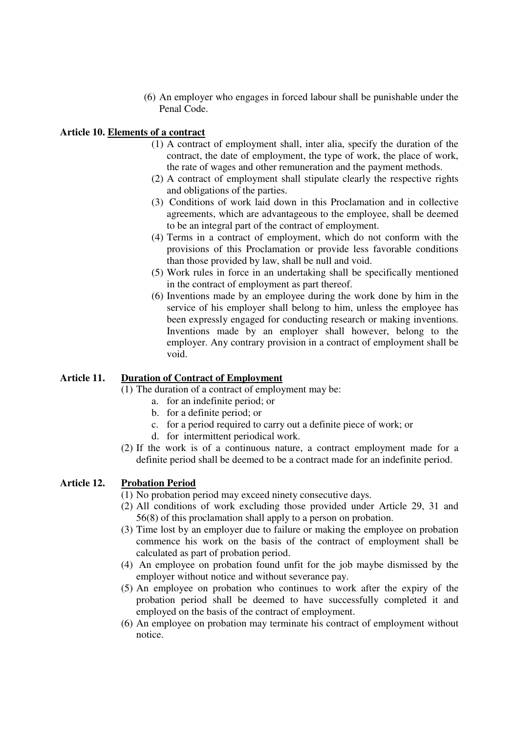(6) An employer who engages in forced labour shall be punishable under the Penal Code.

# **Article 10. Elements of a contract**

- (1) A contract of employment shall, inter alia, specify the duration of the contract, the date of employment, the type of work, the place of work, the rate of wages and other remuneration and the payment methods.
- (2) A contract of employment shall stipulate clearly the respective rights and obligations of the parties.
- (3) Conditions of work laid down in this Proclamation and in collective agreements, which are advantageous to the employee, shall be deemed to be an integral part of the contract of employment.
- (4) Terms in a contract of employment, which do not conform with the provisions of this Proclamation or provide less favorable conditions than those provided by law, shall be null and void.
- (5) Work rules in force in an undertaking shall be specifically mentioned in the contract of employment as part thereof.
- (6) Inventions made by an employee during the work done by him in the service of his employer shall belong to him, unless the employee has been expressly engaged for conducting research or making inventions. Inventions made by an employer shall however, belong to the employer. Any contrary provision in a contract of employment shall be void.

# **Article 11. Duration of Contract of Employment**

(1) The duration of a contract of employment may be:

- a. for an indefinite period; or
- b. for a definite period; or
- c. for a period required to carry out a definite piece of work; or
- d. for intermittent periodical work.
- (2) If the work is of a continuous nature, a contract employment made for a definite period shall be deemed to be a contract made for an indefinite period.

# **Article 12. Probation Period**

- (1) No probation period may exceed ninety consecutive days.
- (2) All conditions of work excluding those provided under Article 29, 31 and 56(8) of this proclamation shall apply to a person on probation.
- (3) Time lost by an employer due to failure or making the employee on probation commence his work on the basis of the contract of employment shall be calculated as part of probation period.
- (4) An employee on probation found unfit for the job maybe dismissed by the employer without notice and without severance pay.
- (5) An employee on probation who continues to work after the expiry of the probation period shall be deemed to have successfully completed it and employed on the basis of the contract of employment.
- (6) An employee on probation may terminate his contract of employment without notice.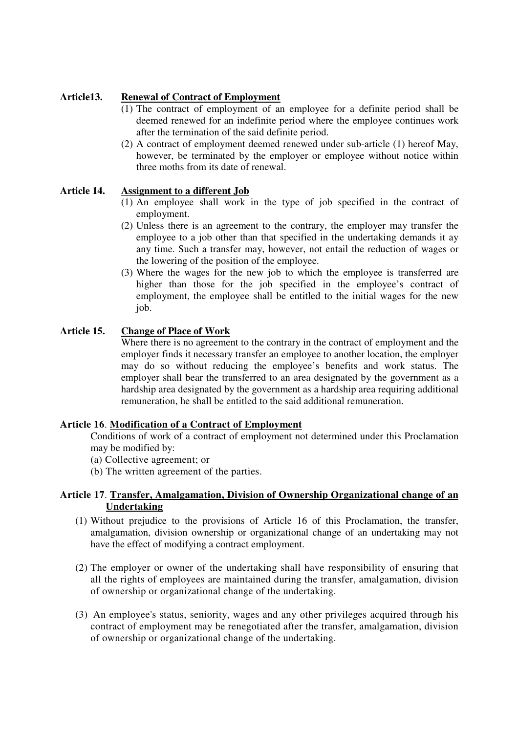# **Article13. Renewal of Contract of Employment**

- (1) The contract of employment of an employee for a definite period shall be deemed renewed for an indefinite period where the employee continues work after the termination of the said definite period.
- (2) A contract of employment deemed renewed under sub-article (1) hereof May, however, be terminated by the employer or employee without notice within three moths from its date of renewal.

# **Article 14. Assignment to a different Job**

- (1) An employee shall work in the type of job specified in the contract of employment.
- (2) Unless there is an agreement to the contrary, the employer may transfer the employee to a job other than that specified in the undertaking demands it ay any time. Such a transfer may, however, not entail the reduction of wages or the lowering of the position of the employee.
- (3) Where the wages for the new job to which the employee is transferred are higher than those for the job specified in the employee's contract of employment, the employee shall be entitled to the initial wages for the new job.

# **Article 15. Change of Place of Work**

Where there is no agreement to the contrary in the contract of employment and the employer finds it necessary transfer an employee to another location, the employer may do so without reducing the employee's benefits and work status. The employer shall bear the transferred to an area designated by the government as a hardship area designated by the government as a hardship area requiring additional remuneration, he shall be entitled to the said additional remuneration.

# **Article 16**. **Modification of a Contract of Employment**

Conditions of work of a contract of employment not determined under this Proclamation may be modified by:

- (a) Collective agreement; or
- (b) The written agreement of the parties.

# **Article 17**. **Transfer, Amalgamation, Division of Ownership Organizational change of an Undertaking**

- (1) Without prejudice to the provisions of Article 16 of this Proclamation, the transfer, amalgamation, division ownership or organizational change of an undertaking may not have the effect of modifying a contract employment.
- (2) The employer or owner of the undertaking shall have responsibility of ensuring that all the rights of employees are maintained during the transfer, amalgamation, division of ownership or organizational change of the undertaking.
- (3) An employee's status, seniority, wages and any other privileges acquired through his contract of employment may be renegotiated after the transfer, amalgamation, division of ownership or organizational change of the undertaking.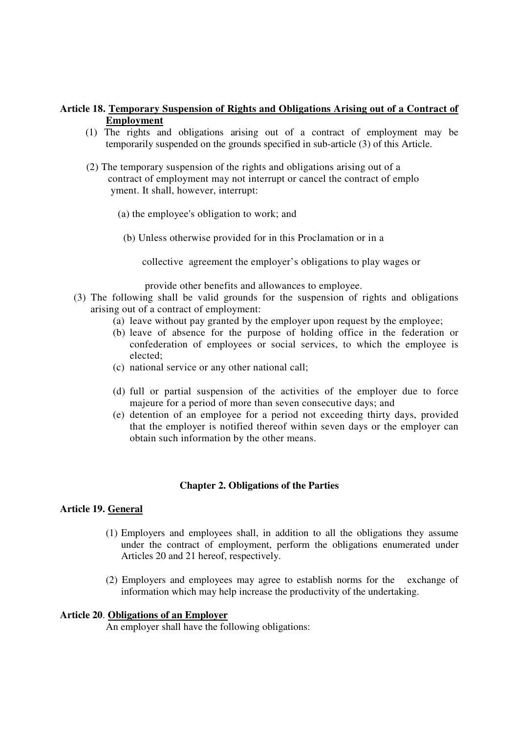# **Article 18. Temporary Suspension of Rights and Obligations Arising out of a Contract of Employment**

- (1) The rights and obligations arising out of a contract of employment may be temporarily suspended on the grounds specified in sub-article (3) of this Article.
- (2) The temporary suspension of the rights and obligations arising out of a contract of employment may not interrupt or cancel the contract of emplo yment. It shall, however, interrupt:
	- (a) the employee's obligation to work; and
		- (b) Unless otherwise provided for in this Proclamation or in a

collective agreement the employer's obligations to play wages or

provide other benefits and allowances to employee.

- (3) The following shall be valid grounds for the suspension of rights and obligations arising out of a contract of employment:
	- (a) leave without pay granted by the employer upon request by the employee;
	- (b) leave of absence for the purpose of holding office in the federation or confederation of employees or social services, to which the employee is elected;
	- (c) national service or any other national call;
	- (d) full or partial suspension of the activities of the employer due to force majeure for a period of more than seven consecutive days; and
	- (e) detention of an employee for a period not exceeding thirty days, provided that the employer is notified thereof within seven days or the employer can obtain such information by the other means.

### **Chapter 2. Obligations of the Parties**

## **Article 19. General**

- (1) Employers and employees shall, in addition to all the obligations they assume under the contract of employment, perform the obligations enumerated under Articles 20 and 21 hereof, respectively.
- (2) Employers and employees may agree to establish norms for the exchange of information which may help increase the productivity of the undertaking.

### **Article 20**. **Obligations of an Employer**

An employer shall have the following obligations: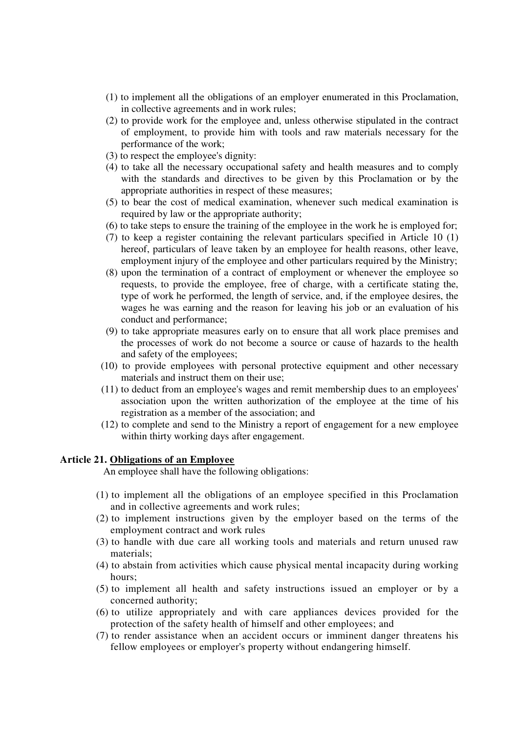- (1) to implement all the obligations of an employer enumerated in this Proclamation, in collective agreements and in work rules;
- (2) to provide work for the employee and, unless otherwise stipulated in the contract of employment, to provide him with tools and raw materials necessary for the performance of the work;
- (3) to respect the employee's dignity:
- (4) to take all the necessary occupational safety and health measures and to comply with the standards and directives to be given by this Proclamation or by the appropriate authorities in respect of these measures;
- (5) to bear the cost of medical examination, whenever such medical examination is required by law or the appropriate authority;
- (6) to take steps to ensure the training of the employee in the work he is employed for;
- (7) to keep a register containing the relevant particulars specified in Article 10 (1) hereof, particulars of leave taken by an employee for health reasons, other leave, employment injury of the employee and other particulars required by the Ministry;
- (8) upon the termination of a contract of employment or whenever the employee so requests, to provide the employee, free of charge, with a certificate stating the, type of work he performed, the length of service, and, if the employee desires, the wages he was earning and the reason for leaving his job or an evaluation of his conduct and performance;
- (9) to take appropriate measures early on to ensure that all work place premises and the processes of work do not become a source or cause of hazards to the health and safety of the employees;
- (10) to provide employees with personal protective equipment and other necessary materials and instruct them on their use;
- (11) to deduct from an employee's wages and remit membership dues to an employees' association upon the written authorization of the employee at the time of his registration as a member of the association; and
- (12) to complete and send to the Ministry a report of engagement for a new employee within thirty working days after engagement.

### **Article 21. Obligations of an Employee**

An employee shall have the following obligations:

- (1) to implement all the obligations of an employee specified in this Proclamation and in collective agreements and work rules;
- (2) to implement instructions given by the employer based on the terms of the employment contract and work rules
- (3) to handle with due care all working tools and materials and return unused raw materials;
- (4) to abstain from activities which cause physical mental incapacity during working hours;
- (5) to implement all health and safety instructions issued an employer or by a concerned authority;
- (6) to utilize appropriately and with care appliances devices provided for the protection of the safety health of himself and other employees; and
- (7) to render assistance when an accident occurs or imminent danger threatens his fellow employees or employer's property without endangering himself.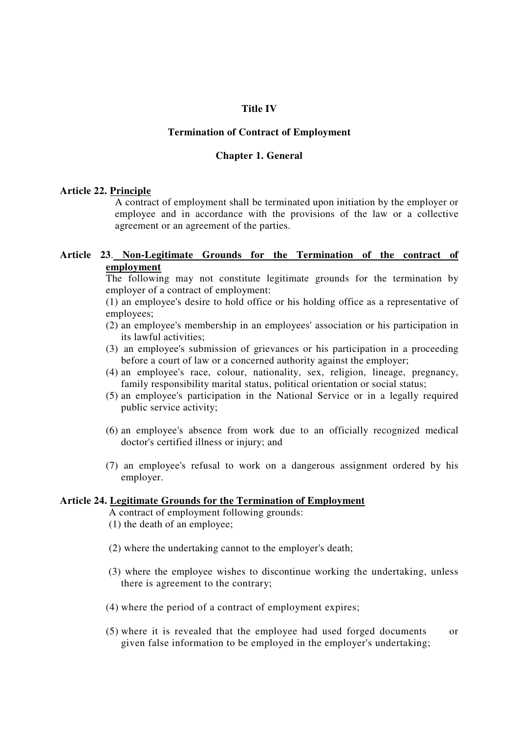## **Title IV**

### **Termination of Contract of Employment**

#### **Chapter 1. General**

## **Article 22. Principle**

A contract of employment shall be terminated upon initiation by the employer or employee and in accordance with the provisions of the law or a collective agreement or an agreement of the parties.

# **Article 23**. **Non-Legitimate Grounds for the Termination of the contract of employment**

The following may not constitute legitimate grounds for the termination by employer of a contract of employment:

(1) an employee's desire to hold office or his holding office as a representative of employees;

- (2) an employee's membership in an employees'association or his participation in its lawful activities;
- (3) an employee's submission of grievances or his participation in a proceeding before a court of law or a concerned authority against the employer;
- (4) an employee's race, colour, nationality, sex, religion, lineage, pregnancy, family responsibility marital status, political orientation or social status;
- (5) an employee's participation in the National Service or in a legally required public service activity;
- (6) an employee's absence from work due to an officially recognized medical doctor's certified illness or injury; and
- (7) an employee's refusal to work on a dangerous assignment ordered by his employer.

## **Article 24. Legitimate Grounds for the Termination of Employment**

A contract of employment following grounds:

- (1) the death of an employee;
- (2) where the undertaking cannot to the employer's death;
- (3) where the employee wishes to discontinue working the undertaking, unless there is agreement to the contrary;
- (4) where the period of a contract of employment expires;
- (5) where it is revealed that the employee had used forged documents or given false information to be employed in the employer's undertaking;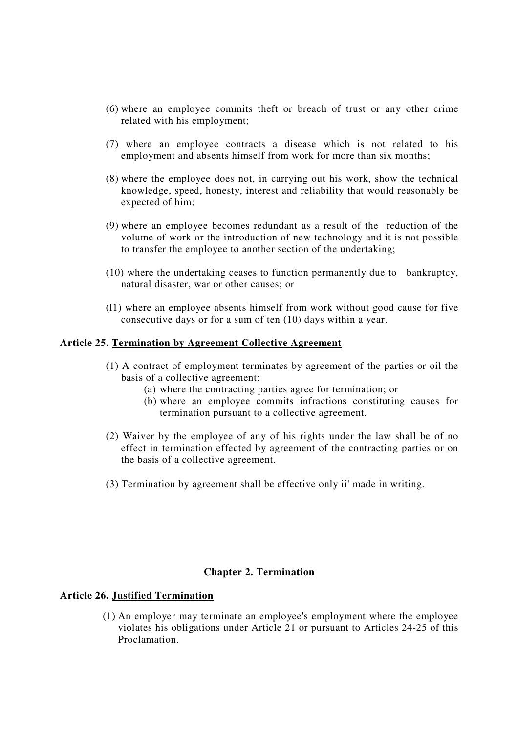- (6) where an employee commits theft or breach of trust or any other crime related with his employment;
- (7) where an employee contracts a disease which is not related to his employment and absents himself from work for more than six months;
- (8) where the employee does not, in carrying out his work, show the technical knowledge, speed, honesty, interest and reliability that would reasonably be expected of him;
- (9) where an employee becomes redundant as a result of the reduction of the volume of work or the introduction of new technology and it is not possible to transfer the employee to another section of the undertaking;
- (10) where the undertaking ceases to function permanently due to bankruptcy, natural disaster, war or other causes; or
- (l1) where an employee absents himself from work without good cause for five consecutive days or for a sum of ten (10) days within a year.

## **Article 25. Termination by Agreement Collective Agreement**

- (1) A contract of employment terminates by agreement of the parties or oil the basis of a collective agreement:
	- (a) where the contracting parties agree for termination; or
	- (b) where an employee commits infractions constituting causes for termination pursuant to a collective agreement.
- (2) Waiver by the employee of any of his rights under the law shall be of no effect in termination effected by agreement of the contracting parties or on the basis of a collective agreement.
- (3) Termination by agreement shall be effective only ii'made in writing.

### **Chapter 2. Termination**

## **Article 26. Justified Termination**

(1) An employer may terminate an employee's employment where the employee violates his obligations under Article 21 or pursuant to Articles 24-25 of this Proclamation.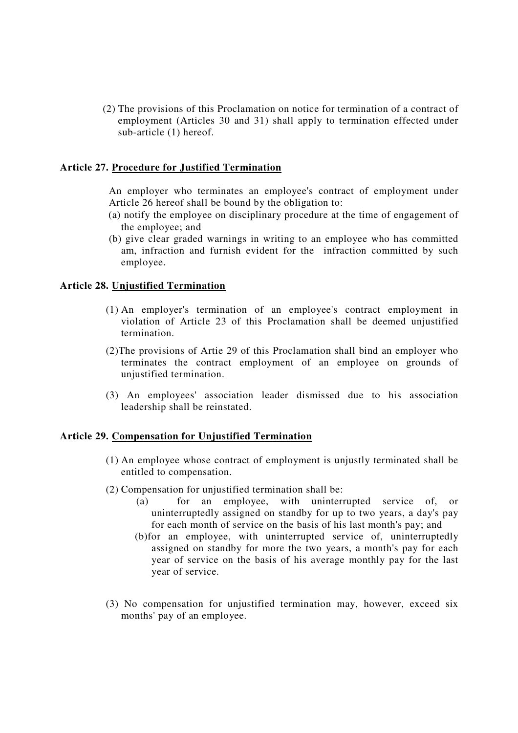(2) The provisions of this Proclamation on notice for termination of a contract of employment (Articles 30 and 31) shall apply to termination effected under sub-article (1) hereof.

## **Article 27. Procedure for Justified Termination**

An employer who terminates an employee's contract of employment under Article 26 hereof shall be bound by the obligation to:

- (a) notify the employee on disciplinary procedure at the time of engagement of the employee; and
- (b) give clear graded warnings in writing to an employee who has committed am, infraction and furnish evident for the infraction committed by such employee.

### **Article 28. Unjustified Termination**

- (1) An employer's termination of an employee's contract employment in violation of Article 23 of this Proclamation shall be deemed unjustified termination.
- (2)The provisions of Artie 29 of this Proclamation shall bind an employer who terminates the contract employment of an employee on grounds of unjustified termination.
- (3) An employees' association leader dismissed due to his association leadership shall be reinstated.

### **Article 29. Compensation for Unjustified Termination**

- (1) An employee whose contract of employment is unjustly terminated shall be entitled to compensation.
- (2) Compensation for unjustified termination shall be:
	- (a) for an employee, with uninterrupted service of, or uninterruptedly assigned on standby for up to two years, a day's pay for each month of service on the basis of his last month's pay; and
	- (b)for an employee, with uninterrupted service of, uninterruptedly assigned on standby for more the two years, a month's pay for each year of service on the basis of his average monthly pay for the last year of service.
- (3) No compensation for unjustified termination may, however, exceed six months' pay of an employee.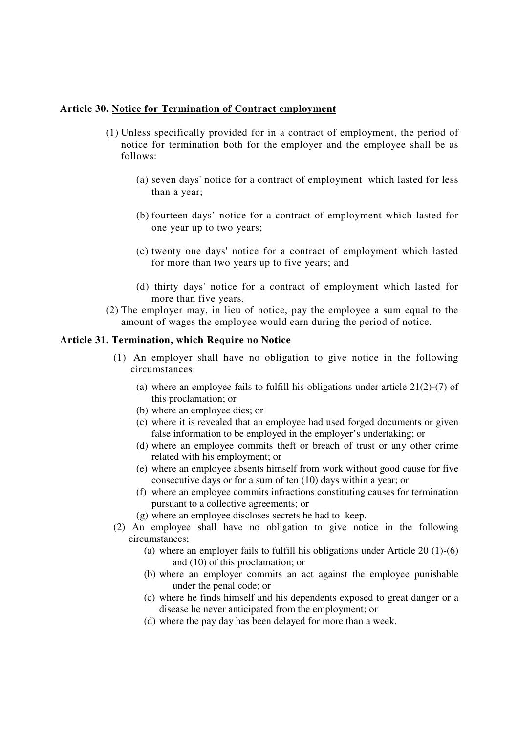# **Article 30. Notice for Termination of Contract employment**

- (1) Unless specifically provided for in a contract of employment, the period of notice for termination both for the employer and the employee shall be as follows:
	- (a) seven days'notice for a contract of employment which lasted for less than a year;
	- (b) fourteen days' notice for a contract of employment which lasted for one year up to two years;
	- (c) twenty one days'notice for a contract of employment which lasted for more than two years up to five years; and
	- (d) thirty days'notice for a contract of employment which lasted for more than five years.
- (2) The employer may, in lieu of notice, pay the employee a sum equal to the amount of wages the employee would earn during the period of notice.

# **Article 31. Termination, which Require no Notice**

- (1) An employer shall have no obligation to give notice in the following circumstances:
	- (a) where an employee fails to fulfill his obligations under article 21(2)-(7) of this proclamation; or
	- (b) where an employee dies; or
	- (c) where it is revealed that an employee had used forged documents or given false information to be employed in the employer's undertaking; or
	- (d) where an employee commits theft or breach of trust or any other crime related with his employment; or
	- (e) where an employee absents himself from work without good cause for five consecutive days or for a sum of ten (10) days within a year; or
	- (f) where an employee commits infractions constituting causes for termination pursuant to a collective agreements; or
	- (g) where an employee discloses secrets he had to keep.
- (2) An employee shall have no obligation to give notice in the following circumstances;
	- (a) where an employer fails to fulfill his obligations under Article 20 (1)-(6) and (10) of this proclamation; or
	- (b) where an employer commits an act against the employee punishable under the penal code; or
	- (c) where he finds himself and his dependents exposed to great danger or a disease he never anticipated from the employment; or
	- (d) where the pay day has been delayed for more than a week.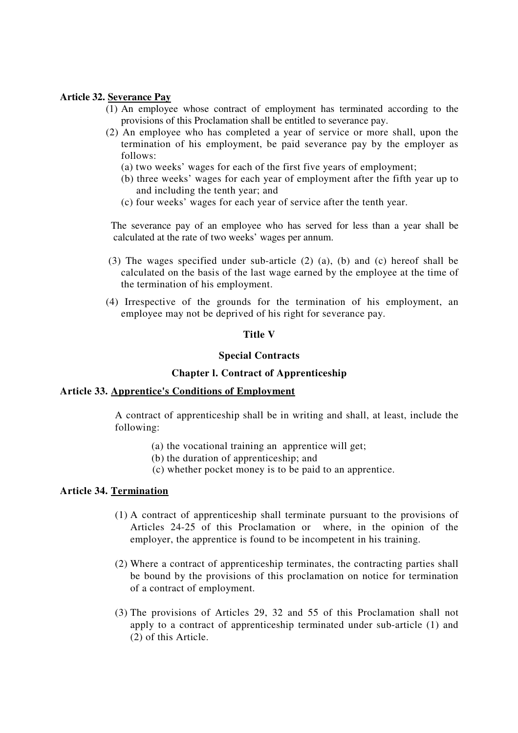## **Article 32. Severance Pay**

- (1) An employee whose contract of employment has terminated according to the provisions of this Proclamation shall be entitled to severance pay.
- (2) An employee who has completed a year of service or more shall, upon the termination of his employment, be paid severance pay by the employer as follows:
	- (a) two weeks' wages for each of the first five years of employment;
	- (b) three weeks' wages for each year of employment after the fifth year up to and including the tenth year; and
	- (c) four weeks' wages for each year of service after the tenth year.

The severance pay of an employee who has served for less than a year shall be calculated at the rate of two weeks' wages per annum.

- (3) The wages specified under sub-article (2) (a), (b) and (c) hereof shall be calculated on the basis of the last wage earned by the employee at the time of the termination of his employment.
- (4) Irrespective of the grounds for the termination of his employment, an employee may not be deprived of his right for severance pay.

## **Title V**

## **Special Contracts**

# **Chapter l. Contract of Apprenticeship**

### **Article 33. Apprentice's Conditions of Employment**

A contract of apprenticeship shall be in writing and shall, at least, include the following:

- (a) the vocational training an apprentice will get;
- (b) the duration of apprenticeship; and
- (c) whether pocket money is to be paid to an apprentice.

### **Article 34. Termination**

- (1) A contract of apprenticeship shall terminate pursuant to the provisions of Articles 24-25 of this Proclamation or where, in the opinion of the employer, the apprentice is found to be incompetent in his training.
- (2) Where a contract of apprenticeship terminates, the contracting parties shall be bound by the provisions of this proclamation on notice for termination of a contract of employment.
- (3) The provisions of Articles 29, 32 and 55 of this Proclamation shall not apply to a contract of apprenticeship terminated under sub-article (1) and (2) of this Article.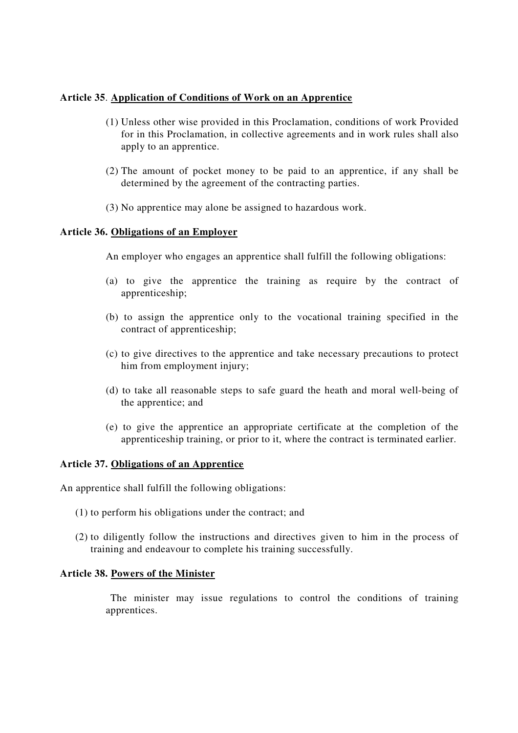# **Article 35**. **Application of Conditions of Work on an Apprentice**

- (1) Unless other wise provided in this Proclamation, conditions of work Provided for in this Proclamation, in collective agreements and in work rules shall also apply to an apprentice.
- (2) The amount of pocket money to be paid to an apprentice, if any shall be determined by the agreement of the contracting parties.
- (3) No apprentice may alone be assigned to hazardous work.

# **Article 36. Obligations of an Employer**

An employer who engages an apprentice shall fulfill the following obligations:

- (a) to give the apprentice the training as require by the contract of apprenticeship;
- (b) to assign the apprentice only to the vocational training specified in the contract of apprenticeship;
- (c) to give directives to the apprentice and take necessary precautions to protect him from employment injury;
- (d) to take all reasonable steps to safe guard the heath and moral well-being of the apprentice; and
- (e) to give the apprentice an appropriate certificate at the completion of the apprenticeship training, or prior to it, where the contract is terminated earlier.

# **Article 37. Obligations of an Apprentice**

An apprentice shall fulfill the following obligations:

- (1) to perform his obligations under the contract; and
- (2) to diligently follow the instructions and directives given to him in the process of training and endeavour to complete his training successfully.

# **Article 38. Powers of the Minister**

The minister may issue regulations to control the conditions of training apprentices.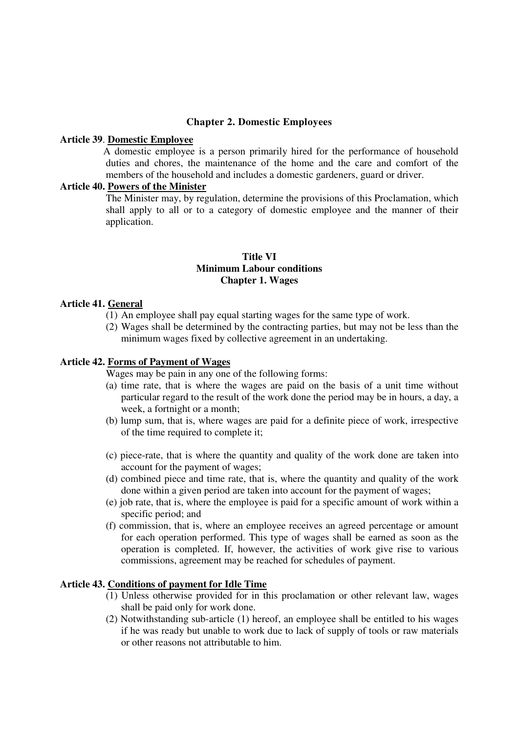### **Chapter 2. Domestic Employees**

#### **Article 39**. **Domestic Employee**

A domestic employee is a person primarily hired for the performance of household duties and chores, the maintenance of the home and the care and comfort of the members of the household and includes a domestic gardeners, guard or driver.

## **Article 40. Powers of the Minister**

The Minister may, by regulation, determine the provisions of this Proclamation, which shall apply to all or to a category of domestic employee and the manner of their application.

## **Title VI Minimum Labour conditions Chapter 1. Wages**

### **Article 41. General**

- (1) An employee shall pay equal starting wages for the same type of work.
- (2) Wages shall be determined by the contracting parties, but may not be less than the minimum wages fixed by collective agreement in an undertaking.

#### **Article 42. Forms of Payment of Wages**

Wages may be pain in any one of the following forms:

- (a) time rate, that is where the wages are paid on the basis of a unit time without particular regard to the result of the work done the period may be in hours, a day, a week, a fortnight or a month;
- (b) lump sum, that is, where wages are paid for a definite piece of work, irrespective of the time required to complete it;
- (c) piece-rate, that is where the quantity and quality of the work done are taken into account for the payment of wages;
- (d) combined piece and time rate, that is, where the quantity and quality of the work done within a given period are taken into account for the payment of wages;
- (e) job rate, that is, where the employee is paid for a specific amount of work within a specific period; and
- (f) commission, that is, where an employee receives an agreed percentage or amount for each operation performed. This type of wages shall be earned as soon as the operation is completed. If, however, the activities of work give rise to various commissions, agreement may be reached for schedules of payment.

#### **Article 43. Conditions of payment for Idle Time**

- (1) Unless otherwise provided for in this proclamation or other relevant law, wages shall be paid only for work done.
- (2) Notwithstanding sub-article (1) hereof, an employee shall be entitled to his wages if he was ready but unable to work due to lack of supply of tools or raw materials or other reasons not attributable to him.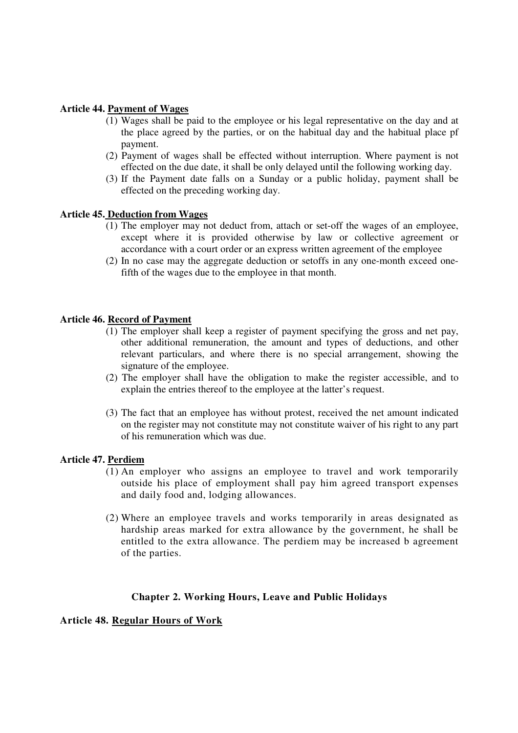# **Article 44. Payment of Wages**

- (1) Wages shall be paid to the employee or his legal representative on the day and at the place agreed by the parties, or on the habitual day and the habitual place pf payment.
- (2) Payment of wages shall be effected without interruption. Where payment is not effected on the due date, it shall be only delayed until the following working day.
- (3) If the Payment date falls on a Sunday or a public holiday, payment shall be effected on the preceding working day.

# **Article 45. Deduction from Wages**

- (1) The employer may not deduct from, attach or set-off the wages of an employee, except where it is provided otherwise by law or collective agreement or accordance with a court order or an express written agreement of the employee
- (2) In no case may the aggregate deduction or setoffs in any one-month exceed onefifth of the wages due to the employee in that month.

## **Article 46. Record of Payment**

- (1) The employer shall keep a register of payment specifying the gross and net pay, other additional remuneration, the amount and types of deductions, and other relevant particulars, and where there is no special arrangement, showing the signature of the employee.
- (2) The employer shall have the obligation to make the register accessible, and to explain the entries thereof to the employee at the latter's request.
- (3) The fact that an employee has without protest, received the net amount indicated on the register may not constitute may not constitute waiver of his right to any part of his remuneration which was due.

### **Article 47. Perdiem**

- (1) An employer who assigns an employee to travel and work temporarily outside his place of employment shall pay him agreed transport expenses and daily food and, lodging allowances.
- (2) Where an employee travels and works temporarily in areas designated as hardship areas marked for extra allowance by the government, he shall be entitled to the extra allowance. The perdiem may be increased b agreement of the parties.

### **Chapter 2. Working Hours, Leave and Public Holidays**

### **Article 48. Regular Hours of Work**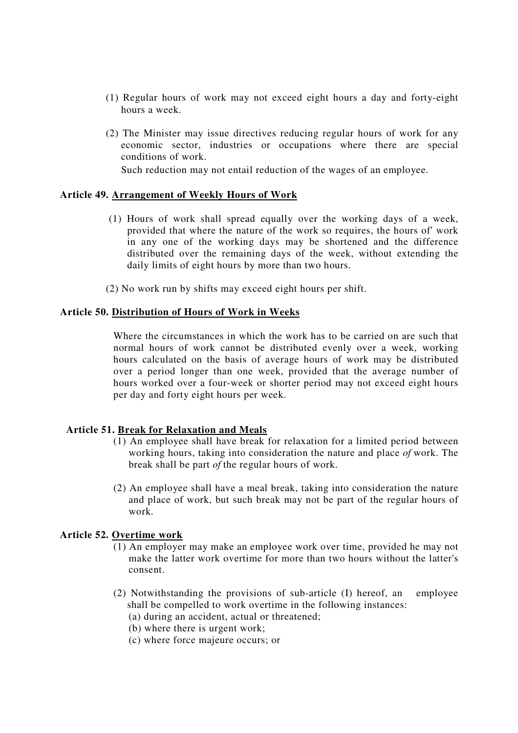- (1) Regular hours of work may not exceed eight hours a day and forty-eight hours a week.
- (2) The Minister may issue directives reducing regular hours of work for any economic sector, industries or occupations where there are special conditions of work.

Such reduction may not entail reduction of the wages of an employee.

# **Article 49. Arrangement of Weekly Hours of Work**

- (1) Hours of work shall spread equally over the working days of a week, provided that where the nature of the work so requires, the hours of'work in any one of the working days may be shortened and the difference distributed over the remaining days of the week, without extending the daily limits of eight hours by more than two hours.
- (2) No work run by shifts may exceed eight hours per shift.

## **Article 50. Distribution of Hours of Work in Weeks**

Where the circumstances in which the work has to be carried on are such that normal hours of work cannot be distributed evenly over a week, working hours calculated on the basis of average hours of work may be distributed over a period longer than one week, provided that the average number of hours worked over a four-week or shorter period may not exceed eight hours per day and forty eight hours per week.

# **Article 51. Break for Relaxation and Meals**

- (1) An employee shall have break for relaxation for a limited period between working hours, taking into consideration the nature and place *of* work. The break shall be part *of* the regular hours of work.
- (2) An employee shall have a meal break, taking into consideration the nature and place of work, but such break may not be part of the regular hours of work.

### **Article 52. Overtime work**

- (1) An employer may make an employee work over time, provided he may not make the latter work overtime for more than two hours without the latter's consent.
- (2) Notwithstanding the provisions of sub-article (I) hereof, an employee shall be compelled to work overtime in the following instances:
	- (a) during an accident, actual or threatened;
	- (b) where there is urgent work;
	- (c) where force majeure occurs; or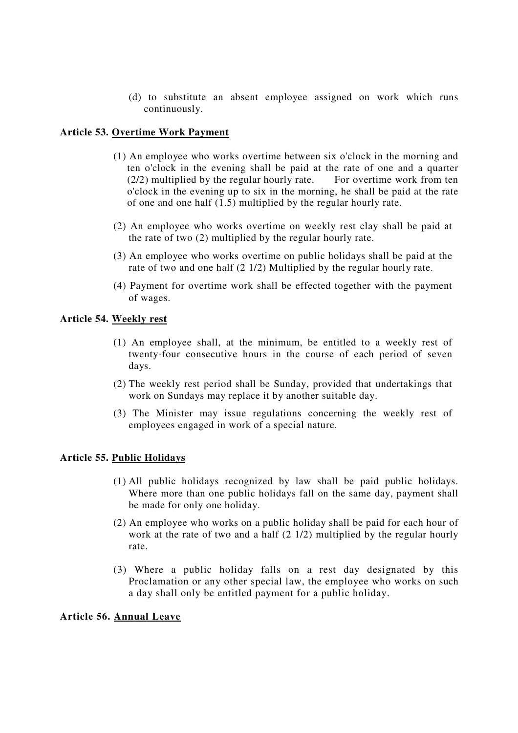(d) to substitute an absent employee assigned on work which runs continuously.

## **Article 53. Overtime Work Payment**

- (1) An employee who works overtime between six o'clock in the morning and ten o'clock in the evening shall be paid at the rate of one and a quarter  $(2/2)$  multiplied by the regular hourly rate. For overtime work from ten o'clock in the evening up to six in the morning, he shall be paid at the rate of one and one half (1.5) multiplied by the regular hourly rate.
- (2) An employee who works overtime on weekly rest clay shall be paid at the rate of two (2) multiplied by the regular hourly rate.
- (3) An employee who works overtime on public holidays shall be paid at the rate of two and one half (2 1/2) Multiplied by the regular hourly rate.
- (4) Payment for overtime work shall be effected together with the payment of wages.

# **Article 54. Weekly rest**

- (1) An employee shall, at the minimum, be entitled to a weekly rest of twenty-four consecutive hours in the course of each period of seven days.
- (2) The weekly rest period shall be Sunday, provided that undertakings that work on Sundays may replace it by another suitable day.
- (3) The Minister may issue regulations concerning the weekly rest of employees engaged in work of a special nature.

### **Article 55. Public Holidays**

- (1) All public holidays recognized by law shall be paid public holidays. Where more than one public holidays fall on the same day, payment shall be made for only one holiday.
- (2) An employee who works on a public holiday shall be paid for each hour of work at the rate of two and a half (2 1/2) multiplied by the regular hourly rate.
- (3) Where a public holiday falls on a rest day designated by this Proclamation or any other special law, the employee who works on such a day shall only be entitled payment for a public holiday.

### **Article 56. Annual Leave**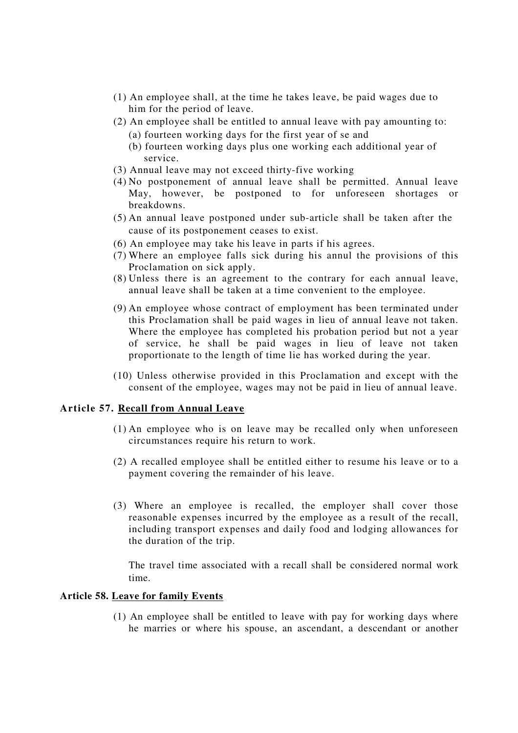- (1) An employee shall, at the time he takes leave, be paid wages due to him for the period of leave.
- (2) An employee shall be entitled to annual leave with pay amounting to:
	- (a) fourteen working days for the first year of se and
	- (b) fourteen working days plus one working each additional year of service.
- (3) Annual leave may not exceed thirty-five working
- (4) No postponement of annual leave shall be permitted. Annual leave May, however, be postponed to for unforeseen shortages or breakdowns.
- (5) An annual leave postponed under sub-article shall be taken after the cause of its postponement ceases to exist.
- (6) An employee may take his leave in parts if his agrees.
- (7) Where an employee falls sick during his annul the provisions of this Proclamation on sick apply.
- (8) Unless there is an agreement to the contrary for each annual leave, annual leave shall be taken at a time convenient to the employee.
- (9) An employee whose contract of employment has been terminated under this Proclamation shall be paid wages in lieu of annual leave not taken. Where the employee has completed his probation period but not a year of service, he shall be paid wages in lieu of leave not taken proportionate to the length of time lie has worked during the year.
- (10) Unless otherwise provided in this Proclamation and except with the consent of the employee, wages may not be paid in lieu of annual leave.

## **Article 57. Recall from Annual Leave**

- (1) An employee who is on leave may be recalled only when unforeseen circumstances require his return to work.
- (2) A recalled employee shall be entitled either to resume his leave or to a payment covering the remainder of his leave.
- (3) Where an employee is recalled, the employer shall cover those reasonable expenses incurred by the employee as a result of the recall, including transport expenses and daily food and lodging allowances for the duration of the trip.

The travel time associated with a recall shall be considered normal work time.

## **Article 58. Leave for family Events**

(1) An employee shall be entitled to leave with pay for working days where he marries or where his spouse, an ascendant, a descendant or another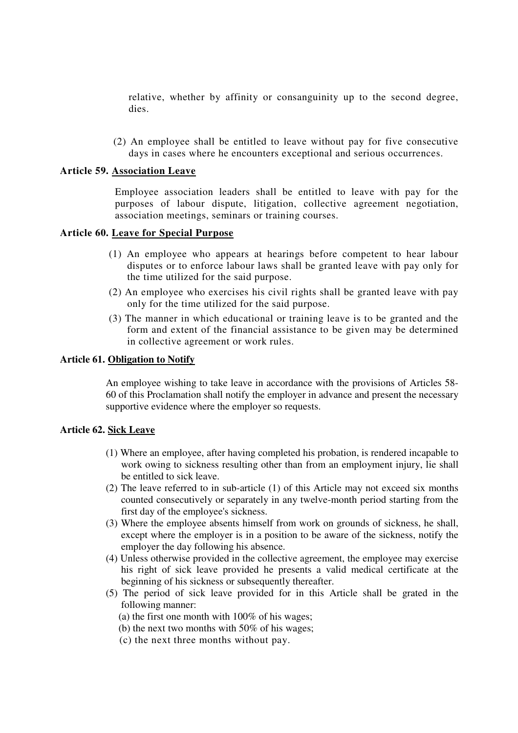relative, whether by affinity or consanguinity up to the second degree, dies.

(2) An employee shall be entitled to leave without pay for five consecutive days in cases where he encounters exceptional and serious occurrences.

## **Article 59. Association Leave**

Employee association leaders shall be entitled to leave with pay for the purposes of labour dispute, litigation, collective agreement negotiation, association meetings, seminars or training courses.

## **Article 60. Leave for Special Purpose**

- (1) An employee who appears at hearings before competent to hear labour disputes or to enforce labour laws shall be granted leave with pay only for the time utilized for the said purpose.
- (2) An employee who exercises his civil rights shall be granted leave with pay only for the time utilized for the said purpose.
- (3) The manner in which educational or training leave is to be granted and the form and extent of the financial assistance to be given may be determined in collective agreement or work rules.

### **Article 61. Obligation to Notify**

An employee wishing to take leave in accordance with the provisions of Articles 58- 60 of this Proclamation shall notify the employer in advance and present the necessary supportive evidence where the employer so requests.

### **Article 62. Sick Leave**

- (1) Where an employee, after having completed his probation, is rendered incapable to work owing to sickness resulting other than from an employment injury, lie shall be entitled to sick leave.
- (2) The leave referred to in sub-article (1) of this Article may not exceed six months counted consecutively or separately in any twelve-month period starting from the first day of the employee's sickness.
- (3) Where the employee absents himself from work on grounds of sickness, he shall, except where the employer is in a position to be aware of the sickness, notify the employer the day following his absence.
- (4) Unless otherwise provided in the collective agreement, the employee may exercise his right of sick leave provided he presents a valid medical certificate at the beginning of his sickness or subsequently thereafter.
- (5) The period of sick leave provided for in this Article shall be grated in the following manner:
	- (a) the first one month with 100% of his wages;
	- (b) the next two months with 50% of his wages;
	- (c) the next three months without pay.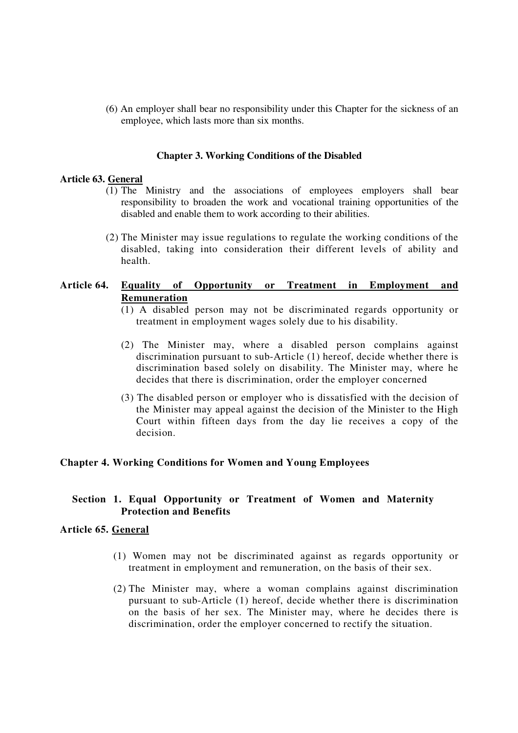(6) An employer shall bear no responsibility under this Chapter for the sickness of an employee, which lasts more than six months.

#### **Chapter 3. Working Conditions of the Disabled**

#### **Article 63. General**

- (1) The Ministry and the associations of employees employers shall bear responsibility to broaden the work and vocational training opportunities of the disabled and enable them to work according to their abilities.
- (2) The Minister may issue regulations to regulate the working conditions of the disabled, taking into consideration their different levels of ability and health.

# **Article 64. Equality of Opportunity or Treatment in Employment and Remuneration**

- (1) A disabled person may not be discriminated regards opportunity or treatment in employment wages solely due to his disability.
- (2) The Minister may, where a disabled person complains against discrimination pursuant to sub-Article (1) hereof, decide whether there is discrimination based solely on disability. The Minister may, where he decides that there is discrimination, order the employer concerned
- (3) The disabled person or employer who is dissatisfied with the decision of the Minister may appeal against the decision of the Minister to the High Court within fifteen days from the day lie receives a copy of the decision.

#### **Chapter 4. Working Conditions for Women and Young Employees**

## **Section 1. Equal Opportunity or Treatment of Women and Maternity Protection and Benefits**

## **Article 65. General**

- (1) Women may not be discriminated against as regards opportunity or treatment in employment and remuneration, on the basis of their sex.
- (2) The Minister may, where a woman complains against discrimination pursuant to sub-Article (1) hereof, decide whether there is discrimination on the basis of her sex. The Minister may, where he decides there is discrimination, order the employer concerned to rectify the situation.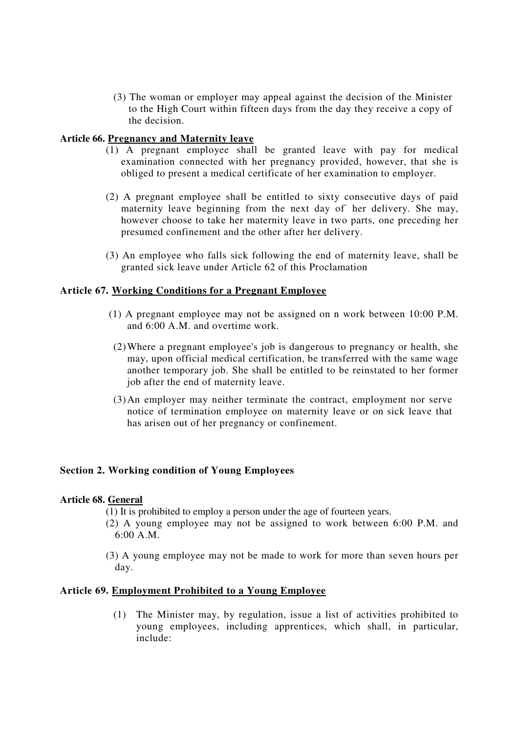(3) The woman or employer may appeal against the decision of the Minister to the High Court within fifteen days from the day they receive a copy of the decision.

## **Article 66. Pregnancy and Maternity leave**

- (1) A pregnant employee shall be granted leave with pay for medical examination connected with her pregnancy provided, however, that she is obliged to present a medical certificate of her examination to employer.
- (2) A pregnant employee shall be entitled to sixty consecutive days of paid maternity leave beginning from the next day of her delivery. She may, however choose to take her maternity leave in two parts, one preceding her presumed confinement and the other after her delivery.
- (3) An employee who falls sick following the end of maternity leave, shall be granted sick leave under Article 62 of this Proclamation

## **Article 67. Working Conditions for a Pregnant Employee**

- (1) A pregnant employee may not be assigned on n work between 10:00 P.M. and 6:00 A.M. and overtime work.
- (2)Where a pregnant employee's job is dangerous to pregnancy or health, she may, upon official medical certification, be transferred with the same wage another temporary job. She shall be entitled to be reinstated to her former job after the end of maternity leave.
- (3)An employer may neither terminate the contract, employment nor serve notice of termination employee on maternity leave or on sick leave that has arisen out of her pregnancy or confinement.

### **Section 2. Working condition of Young Employees**

### **Article 68. General**

(1) It is prohibited to employ a person under the age of fourteen years.

- (2) A young employee may not be assigned to work between 6:00 P.M. and 6:00 A.M.
- (3) A young employee may not be made to work for more than seven hours per day.

### **Article 69. Employment Prohibited to a Young Employee**

(1) The Minister may, by regulation, issue a list of activities prohibited to young employees, including apprentices, which shall, in particular, include: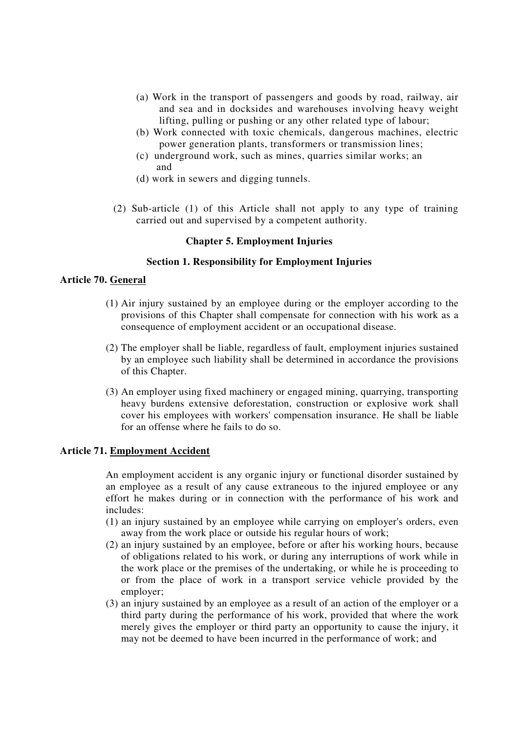- (a) Work in the transport of passengers and goods by road, railway, air and sea and in docksides and warehouses involving heavy weight lifting, pulling or pushing or any other related type of labour;
- (b) Work connected with toxic chemicals, dangerous machines, electric power generation plants, transformers or transmission lines;
- (c) underground work, such as mines, quarries similar works; an and
- (d) work in sewers and digging tunnels.
- (2) Sub-article (1) of this Article shall not apply to any type of training carried out and supervised by a competent authority.

#### **Chapter 5. Employment Injuries**

## **Section 1. Responsibility for Employment Injuries**

## **Article 70. General**

- (1) Air injury sustained by an employee during or the employer according to the provisions of this Chapter shall compensate for connection with his work as a consequence of employment accident or an occupational disease.
- (2) The employer shall be liable, regardless of fault, employment injuries sustained by an employee such liability shall be determined in accordance the provisions of this Chapter.
- (3) An employer using fixed machinery or engaged mining, quarrying, transporting heavy burdens extensive deforestation, construction or explosive work shall cover his employees with workers'compensation insurance. He shall be liable for an offense where he fails to do so.

#### **Article 71. Employment Accident**

An employment accident is any organic injury or functional disorder sustained by an employee as a result of any cause extraneous to the injured employee or any effort he makes during or in connection with the performance of his work and includes:

- (1) an injury sustained by an employee while carrying on employer's orders, even away from the work place or outside his regular hours of work;
- (2) an injury sustained by an employee, before or after his working hours, because of obligations related to his work, or during any interruptions of work while in the work place or the premises of the undertaking, or while he is proceeding to or from the place of work in a transport service vehicle provided by the employer;
- (3) an injury sustained by an employee as a result of an action of the employer or a third party during the performance of his work, provided that where the work merely gives the employer or third party an opportunity to cause the injury, it may not be deemed to have been incurred in the performance of work; and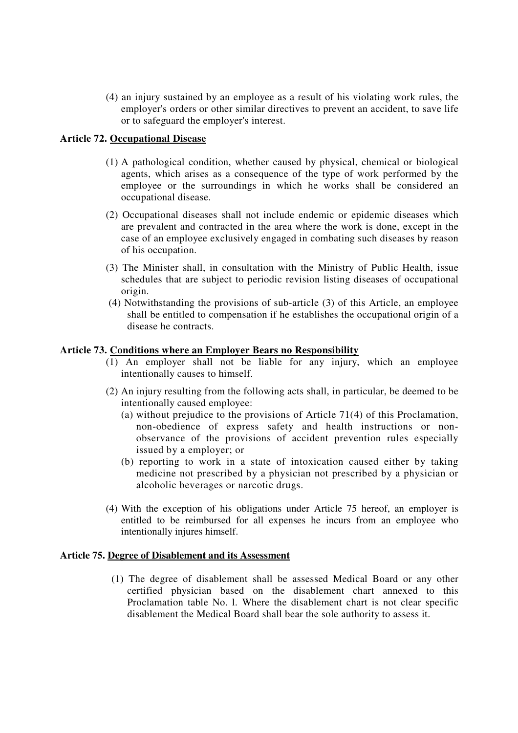(4) an injury sustained by an employee as a result of his violating work rules, the employer's orders or other similar directives to prevent an accident, to save life or to safeguard the employer's interest.

# **Article 72. Occupational Disease**

- (1) A pathological condition, whether caused by physical, chemical or biological agents, which arises as a consequence of the type of work performed by the employee or the surroundings in which he works shall be considered an occupational disease.
- (2) Occupational diseases shall not include endemic or epidemic diseases which are prevalent and contracted in the area where the work is done, except in the case of an employee exclusively engaged in combating such diseases by reason of his occupation.
- (3) The Minister shall, in consultation with the Ministry of Public Health, issue schedules that are subject to periodic revision listing diseases of occupational origin.
- (4) Notwithstanding the provisions of sub-article (3) of this Article, an employee shall be entitled to compensation if he establishes the occupational origin of a disease he contracts.

## **Article 73. Conditions where an Employer Bears no Responsibility**

- (1) An employer shall not be liable for any injury, which an employee intentionally causes to himself.
- (2) An injury resulting from the following acts shall, in particular, be deemed to be intentionally caused employee:
	- (a) without prejudice to the provisions of Article 71(4) of this Proclamation, non-obedience of express safety and health instructions or nonobservance of the provisions of accident prevention rules especially issued by a employer; or
	- (b) reporting to work in a state of intoxication caused either by taking medicine not prescribed by a physician not prescribed by a physician or alcoholic beverages or narcotic drugs.
- (4) With the exception of his obligations under Article 75 hereof, an employer is entitled to be reimbursed for all expenses he incurs from an employee who intentionally injures himself.

## **Article 75. Degree of Disablement and its Assessment**

(1) The degree of disablement shall be assessed Medical Board or any other certified physician based on the disablement chart annexed to this Proclamation table No. l. Where the disablement chart is not clear specific disablement the Medical Board shall bear the sole authority to assess it.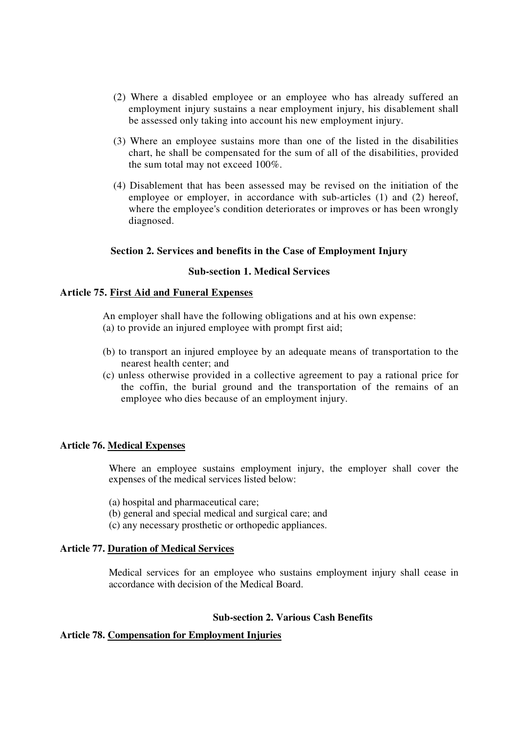- (2) Where a disabled employee or an employee who has already suffered an employment injury sustains a near employment injury, his disablement shall be assessed only taking into account his new employment injury.
- (3) Where an employee sustains more than one of the listed in the disabilities chart, he shall be compensated for the sum of all of the disabilities, provided the sum total may not exceed 100%.
- (4) Disablement that has been assessed may be revised on the initiation of the employee or employer, in accordance with sub-articles (1) and (2) hereof, where the employee's condition deteriorates or improves or has been wrongly diagnosed.

## **Section 2. Services and benefits in the Case of Employment Injury**

### **Sub-section 1. Medical Services**

## **Article 75. First Aid and Funeral Expenses**

An employer shall have the following obligations and at his own expense:

- (a) to provide an injured employee with prompt first aid;
- (b) to transport an injured employee by an adequate means of transportation to the nearest health center; and
- (c) unless otherwise provided in a collective agreement to pay a rational price for the coffin, the burial ground and the transportation of the remains of an employee who dies because of an employment injury.

### **Article 76. Medical Expenses**

Where an employee sustains employment injury, the employer shall cover the expenses of the medical services listed below:

(a) hospital and pharmaceutical care;

- (b) general and special medical and surgical care; and
- (c) any necessary prosthetic or orthopedic appliances.

### **Article 77. Duration of Medical Services**

Medical services for an employee who sustains employment injury shall cease in accordance with decision of the Medical Board.

# **Sub-section 2. Various Cash Benefits**

# **Article 78. Compensation for Employment Injuries**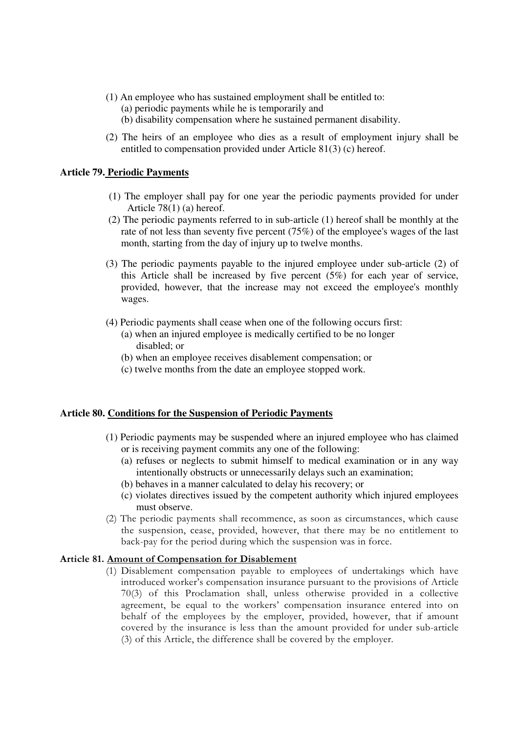- (1) An employee who has sustained employment shall be entitled to: (a) periodic payments while he is temporarily and (b) disability compensation where he sustained permanent disability.
- (2) The heirs of an employee who dies as a result of employment injury shall be entitled to compensation provided under Article 81(3) (c) hereof.

#### **Article 79. Periodic Payments**

- (1) The employer shall pay for one year the periodic payments provided for under Article 78(1) (a) hereof.
- (2) The periodic payments referred to in sub-article (1) hereof shall be monthly at the rate of not less than seventy five percent (75%) of the employee's wages of the last month, starting from the day of injury up to twelve months.
- (3) The periodic payments payable to the injured employee under sub-article (2) of this Article shall be increased by five percent (5%) for each year of service, provided, however, that the increase may not exceed the employee's monthly wages.
- (4) Periodic payments shall cease when one of the following occurs first:
	- (a) when an injured employee is medically certified to be no longer disabled; or
	- (b) when an employee receives disablement compensation; or
	- (c) twelve months from the date an employee stopped work.

### **Article 80. Conditions for the Suspension of Periodic Payments**

- (1) Periodic payments may be suspended where an injured employee who has claimed or is receiving payment commits any one of the following:
	- (a) refuses or neglects to submit himself to medical examination or in any way intentionally obstructs or unnecessarily delays such an examination;
	- (b) behaves in a manner calculated to delay his recovery; or
	- (c) violates directives issued by the competent authority which injured employees must observe.
- (2) The periodic payments shall recommence, as soon as circumstances, which cause the suspension, cease, provided, however, that there may be no entitlement to back-pay for the period during which the suspension was in force.

#### Article 81. Amount of Compensation for Disablement

(1) Disablement compensation payable to employees of undertakings which have introduced worker's compensation insurance pursuant to the provisions of Article 70(3) of this Proclamation shall, unless otherwise provided in a collective agreement, be equal to the workers' compensation insurance entered into on behalf of the employees by the employer, provided, however, that if amount covered by the insurance is less than the amount provided for under sub-article (3) of this Article, the difference shall be covered by the employer.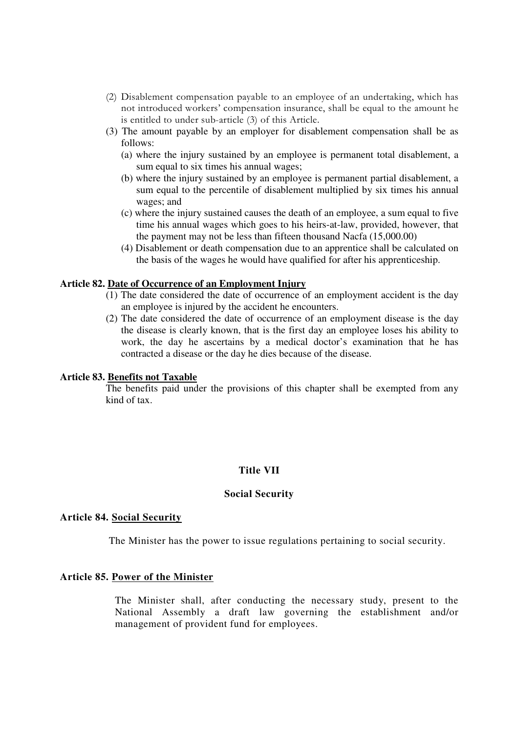- (2) Disablement compensation payable to an employee of an undertaking, which has not introduced workers' compensation insurance, shall be equal to the amount he is entitled to under sub-article (3) of this Article.
- (3) The amount payable by an employer for disablement compensation shall be as follows:
	- (a) where the injury sustained by an employee is permanent total disablement, a sum equal to six times his annual wages;
	- (b) where the injury sustained by an employee is permanent partial disablement, a sum equal to the percentile of disablement multiplied by six times his annual wages; and
	- (c) where the injury sustained causes the death of an employee, a sum equal to five time his annual wages which goes to his heirs-at-law, provided, however, that the payment may not be less than fifteen thousand Nacfa (15,000.00)
	- (4) Disablement or death compensation due to an apprentice shall be calculated on the basis of the wages he would have qualified for after his apprenticeship.

## **Article 82. Date of Occurrence of an Employment Injury**

- (1) The date considered the date of occurrence of an employment accident is the day an employee is injured by the accident he encounters.
- (2) The date considered the date of occurrence of an employment disease is the day the disease is clearly known, that is the first day an employee loses his ability to work, the day he ascertains by a medical doctor's examination that he has contracted a disease or the day he dies because of the disease.

### **Article 83. Benefits not Taxable**

The benefits paid under the provisions of this chapter shall be exempted from any kind of tax.

# **Title VII**

### **Social Security**

### **Article 84. Social Security**

The Minister has the power to issue regulations pertaining to social security.

### **Article 85. Power of the Minister**

The Minister shall, after conducting the necessary study, present to the National Assembly a draft law governing the establishment and/or management of provident fund for employees.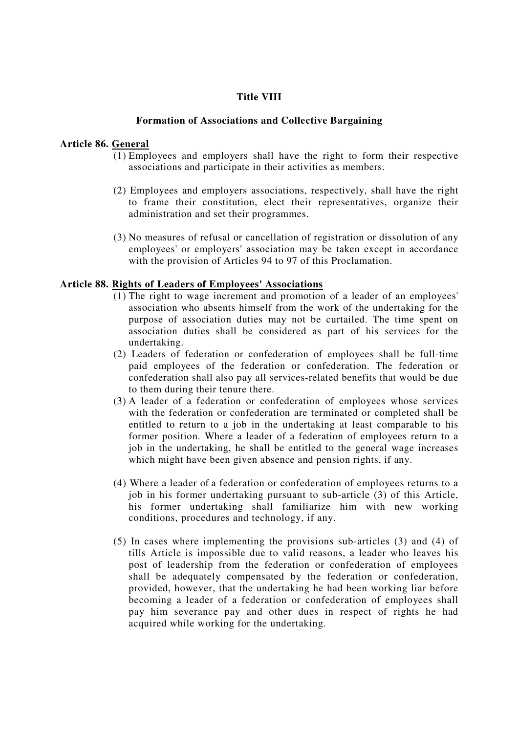## **Title VIII**

### **Formation of Associations and Collective Bargaining**

### **Article 86. General**

- (1) Employees and employers shall have the right to form their respective associations and participate in their activities as members.
- (2) Employees and employers associations, respectively, shall have the right to frame their constitution, elect their representatives, organize their administration and set their programmes.
- (3) No measures of refusal or cancellation of registration or dissolution of any employees'or employers'association may be taken except in accordance with the provision of Articles 94 to 97 of this Proclamation.

### **Article 88. Rights of Leaders of Employees' Associations**

- (1) The right to wage increment and promotion of a leader of an employees' association who absents himself from the work of the undertaking for the purpose of association duties may not be curtailed. The time spent on association duties shall be considered as part of his services for the undertaking.
- (2) Leaders of federation or confederation of employees shall be full-time paid employees of the federation or confederation. The federation or confederation shall also pay all services-related benefits that would be due to them during their tenure there.
- (3) A leader of a federation or confederation of employees whose services with the federation or confederation are terminated or completed shall be entitled to return to a job in the undertaking at least comparable to his former position. Where a leader of a federation of employees return to a job in the undertaking, he shall be entitled to the general wage increases which might have been given absence and pension rights, if any.
- (4) Where a leader of a federation or confederation of employees returns to a job in his former undertaking pursuant to sub-article (3) of this Article, his former undertaking shall familiarize him with new working conditions, procedures and technology, if any.
- (5) In cases where implementing the provisions sub-articles (3) and (4) of tills Article is impossible due to valid reasons, a leader who leaves his post of leadership from the federation or confederation of employees shall be adequately compensated by the federation or confederation, provided, however, that the undertaking he had been working liar before becoming a leader of a federation or confederation of employees shall pay him severance pay and other dues in respect of rights he had acquired while working for the undertaking.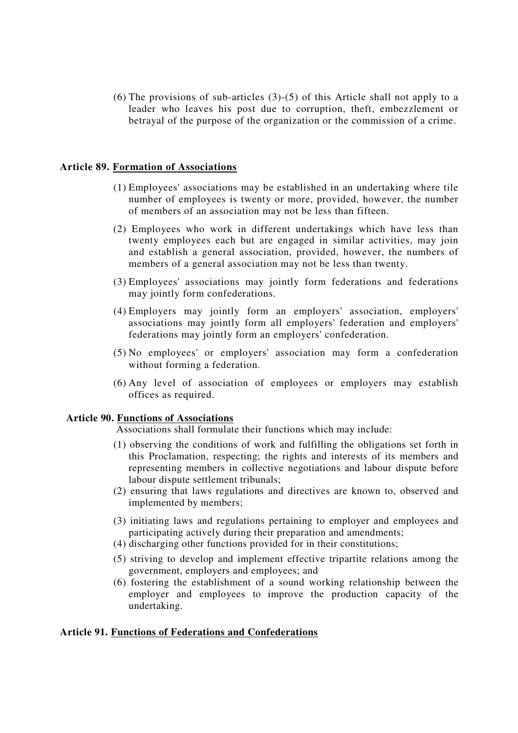$(6)$  The provisions of sub-articles  $(3)-(5)$  of this Article shall not apply to a leader who leaves his post due to corruption, theft, embezzlement or betrayal of the purpose of the organization or the commission of a crime.

### **Article 89. Formation of Associations**

- (1) Employees'associations may be established in an undertaking where tile number of employees is twenty or more, provided, however, the number of members of an association may not be less than fifteen.
- (2) Employees who work in different undertakings which have less than twenty employees each but are engaged in similar activities, may join and establish a general association, provided, however, the numbers of members of a general association may not be less than twenty.
- (3) Employees'associations may jointly form federations and federations may jointly form confederations.
- (4) Employers may jointly form an employers' association, employers' associations may jointly form all employers' federation and employers' federations may jointly form an employers'confederation.
- (5) No employees'or employers'association may form a confederation without forming a federation.
- (6) Any level of association of employees or employers may establish offices as required.

### **Article 90. Functions of Associations**

Associations shall formulate their functions which may include:

- (1) observing the conditions of work and fulfilling the obligations set forth in this Proclamation, respecting; the rights and interests of its members and representing members in collective negotiations and labour dispute before labour dispute settlement tribunals;
- (2) ensuring that laws regulations and directives are known to, observed and implemented by members;
- (3) initiating laws and regulations pertaining to employer and employees and participating actively during their preparation and amendments;
- (4) discharging other functions provided for in their constitutions;
- (5) striving to develop and implement effective tripartite relations among the government, employers and employees; and
- (6) fostering the establishment of a sound working relationship between the employer and employees to improve the production capacity of the undertaking.

# **Article 91. Functions of Federations and Confederations**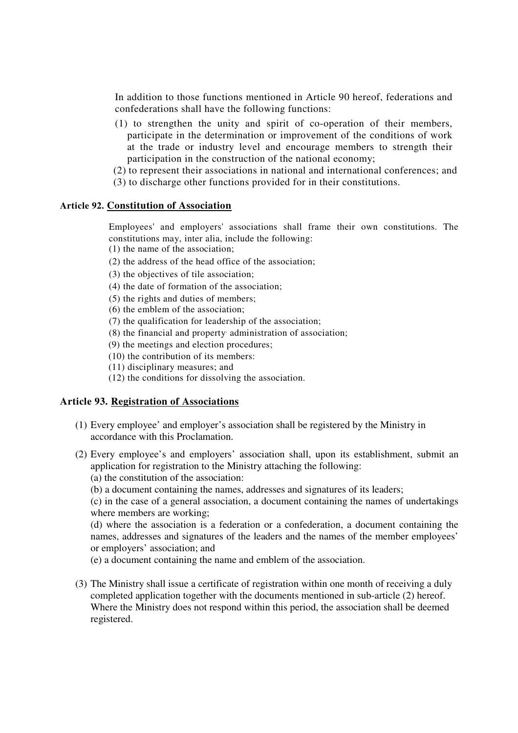In addition to those functions mentioned in Article 90 hereof, federations and confederations shall have the following functions:

- (1) to strengthen the unity and spirit of co-operation of their members, participate in the determination or improvement of the conditions of work at the trade or industry level and encourage members to strength their participation in the construction of the national economy;
- (2) to represent their associations in national and international conferences; and
- (3) to discharge other functions provided for in their constitutions.

## **Article 92. Constitution of Association**

Employees'and employers'associations shall frame their own constitutions. The constitutions may, inter alia, include the following:

- (1) the name of the association;
- (2) the address of the head office of the association;
- (3) the objectives of tile association;
- (4) the date of formation of the association;
- (5) the rights and duties of members;
- (6) the emblem of the association;
- (7) the qualification for leadership of the association;
- (8) the financial and property , administration of association;
- (9) the meetings and election procedures;
- (10) the contribution of its members:
- (11) disciplinary measures; and
- (12) the conditions for dissolving the association.

### **Article 93. Registration of Associations**

- (1) Every employee' and employer's association shall be registered by the Ministry in accordance with this Proclamation.
- (2) Every employee's and employers' association shall, upon its establishment, submit an application for registration to the Ministry attaching the following:
	- (a) the constitution of the association:
	- (b) a document containing the names, addresses and signatures of its leaders;

(c) in the case of a general association, a document containing the names of undertakings where members are working;

(d) where the association is a federation or a confederation, a document containing the names, addresses and signatures of the leaders and the names of the member employees' or employers' association; and

(e) a document containing the name and emblem of the association.

(3) The Ministry shall issue a certificate of registration within one month of receiving a duly completed application together with the documents mentioned in sub-article (2) hereof. Where the Ministry does not respond within this period, the association shall be deemed registered.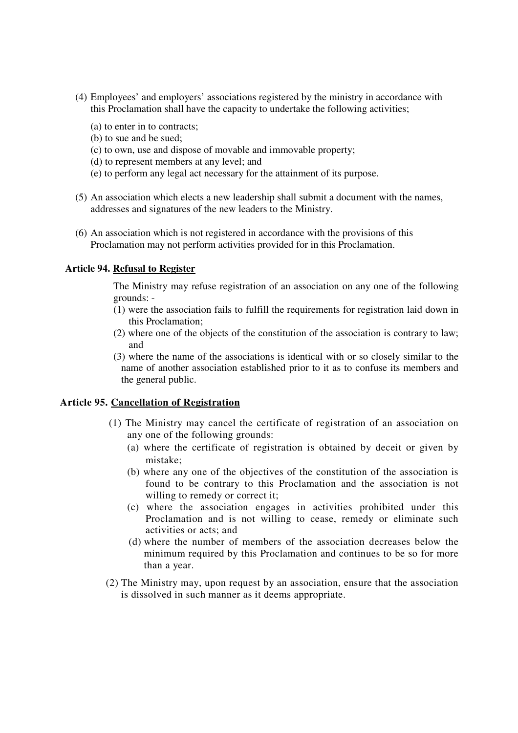- (4) Employees' and employers' associations registered by the ministry in accordance with this Proclamation shall have the capacity to undertake the following activities;
	- (a) to enter in to contracts;
	- (b) to sue and be sued;
	- (c) to own, use and dispose of movable and immovable property;
	- (d) to represent members at any level; and
	- (e) to perform any legal act necessary for the attainment of its purpose.
- (5) An association which elects a new leadership shall submit a document with the names, addresses and signatures of the new leaders to the Ministry.
- (6) An association which is not registered in accordance with the provisions of this Proclamation may not perform activities provided for in this Proclamation.

### **Article 94. Refusal to Register**

The Ministry may refuse registration of an association on any one of the following grounds: -

- (1) were the association fails to fulfill the requirements for registration laid down in this Proclamation;
- (2) where one of the objects of the constitution of the association is contrary to law; and
- (3) where the name of the associations is identical with or so closely similar to the name of another association established prior to it as to confuse its members and the general public.

### **Article 95. Cancellation of Registration**

- (1) The Ministry may cancel the certificate of registration of an association on any one of the following grounds:
	- (a) where the certificate of registration is obtained by deceit or given by mistake;
	- (b) where any one of the objectives of the constitution of the association is found to be contrary to this Proclamation and the association is not willing to remedy or correct it;
	- (c) where the association engages in activities prohibited under this Proclamation and is not willing to cease, remedy or eliminate such activities or acts; and
	- (d) where the number of members of the association decreases below the minimum required by this Proclamation and continues to be so for more than a year.
- (2) The Ministry may, upon request by an association, ensure that the association is dissolved in such manner as it deems appropriate.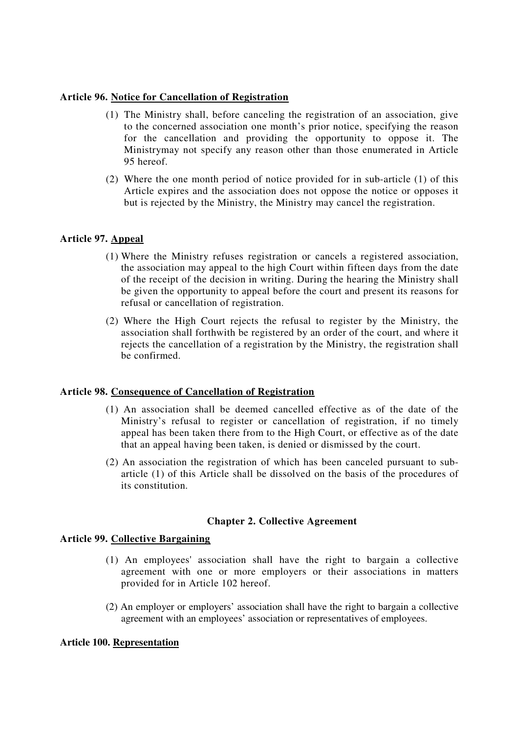## **Article 96. Notice for Cancellation of Registration**

- (1) The Ministry shall, before canceling the registration of an association, give to the concerned association one month's prior notice, specifying the reason for the cancellation and providing the opportunity to oppose it. The Ministrymay not specify any reason other than those enumerated in Article 95 hereof.
- (2) Where the one month period of notice provided for in sub-article (1) of this Article expires and the association does not oppose the notice or opposes it but is rejected by the Ministry, the Ministry may cancel the registration.

# **Article 97. Appeal**

- (1) Where the Ministry refuses registration or cancels a registered association, the association may appeal to the high Court within fifteen days from the date of the receipt of the decision in writing. During the hearing the Ministry shall be given the opportunity to appeal before the court and present its reasons for refusal or cancellation of registration.
- (2) Where the High Court rejects the refusal to register by the Ministry, the association shall forthwith be registered by an order of the court, and where it rejects the cancellation of a registration by the Ministry, the registration shall be confirmed.

# **Article 98. Consequence of Cancellation of Registration**

- (1) An association shall be deemed cancelled effective as of the date of the Ministry's refusal to register or cancellation of registration, if no timely appeal has been taken there from to the High Court, or effective as of the date that an appeal having been taken, is denied or dismissed by the court.
- (2) An association the registration of which has been canceled pursuant to subarticle (1) of this Article shall be dissolved on the basis of the procedures of its constitution.

# **Chapter 2. Collective Agreement**

# **Article 99. Collective Bargaining**

- (1) An employees'association shall have the right to bargain a collective agreement with one or more employers or their associations in matters provided for in Article 102 hereof.
- (2) An employer or employers' association shall have the right to bargain a collective agreement with an employees' association or representatives of employees.

### **Article 100. Representation**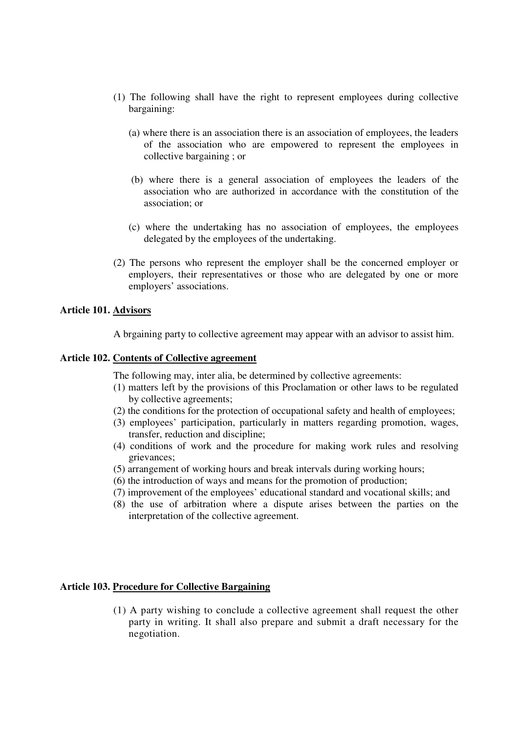- (1) The following shall have the right to represent employees during collective bargaining:
	- (a) where there is an association there is an association of employees, the leaders of the association who are empowered to represent the employees in collective bargaining ; or
	- (b) where there is a general association of employees the leaders of the association who are authorized in accordance with the constitution of the association; or
	- (c) where the undertaking has no association of employees, the employees delegated by the employees of the undertaking.
- (2) The persons who represent the employer shall be the concerned employer or employers, their representatives or those who are delegated by one or more employers' associations.

## **Article 101. Advisors**

A brgaining party to collective agreement may appear with an advisor to assist him.

## **Article 102. Contents of Collective agreement**

The following may, inter alia, be determined by collective agreements:

- (1) matters left by the provisions of this Proclamation or other laws to be regulated by collective agreements;
- (2) the conditions for the protection of occupational safety and health of employees;
- (3) employees' participation, particularly in matters regarding promotion, wages, transfer, reduction and discipline;
- (4) conditions of work and the procedure for making work rules and resolving grievances;
- (5) arrangement of working hours and break intervals during working hours;
- (6) the introduction of ways and means for the promotion of production;
- (7) improvement of the employees' educational standard and vocational skills; and
- (8) the use of arbitration where a dispute arises between the parties on the interpretation of the collective agreement.

### **Article 103. Procedure for Collective Bargaining**

(1) A party wishing to conclude a collective agreement shall request the other party in writing. It shall also prepare and submit a draft necessary for the negotiation.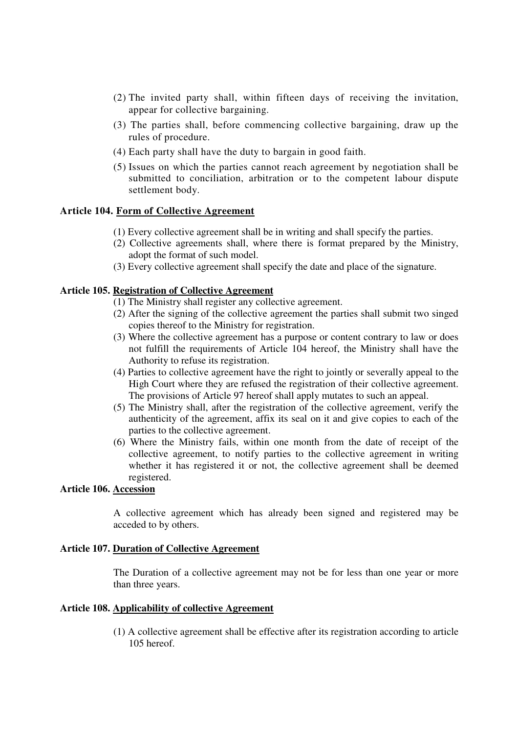- (2) The invited party shall, within fifteen days of receiving the invitation, appear for collective bargaining.
- (3) The parties shall, before commencing collective bargaining, draw up the rules of procedure.
- (4) Each party shall have the duty to bargain in good faith.
- (5) Issues on which the parties cannot reach agreement by negotiation shall be submitted to conciliation, arbitration or to the competent labour dispute settlement body.

### **Article 104. Form of Collective Agreement**

- (1) Every collective agreement shall be in writing and shall specify the parties.
- (2) Collective agreements shall, where there is format prepared by the Ministry, adopt the format of such model.
- (3) Every collective agreement shall specify the date and place of the signature.

## **Article 105. Registration of Collective Agreement**

- (1) The Ministry shall register any collective agreement.
- (2) After the signing of the collective agreement the parties shall submit two singed copies thereof to the Ministry for registration.
- (3) Where the collective agreement has a purpose or content contrary to law or does not fulfill the requirements of Article 104 hereof, the Ministry shall have the Authority to refuse its registration.
- (4) Parties to collective agreement have the right to jointly or severally appeal to the High Court where they are refused the registration of their collective agreement. The provisions of Article 97 hereof shall apply mutates to such an appeal.
- (5) The Ministry shall, after the registration of the collective agreement, verify the authenticity of the agreement, affix its seal on it and give copies to each of the parties to the collective agreement.
- (6) Where the Ministry fails, within one month from the date of receipt of the collective agreement, to notify parties to the collective agreement in writing whether it has registered it or not, the collective agreement shall be deemed registered.

## **Article 106. Accession**

A collective agreement which has already been signed and registered may be acceded to by others.

#### **Article 107. Duration of Collective Agreement**

The Duration of a collective agreement may not be for less than one year or more than three years.

#### **Article 108. Applicability of collective Agreement**

(1) A collective agreement shall be effective after its registration according to article 105 hereof.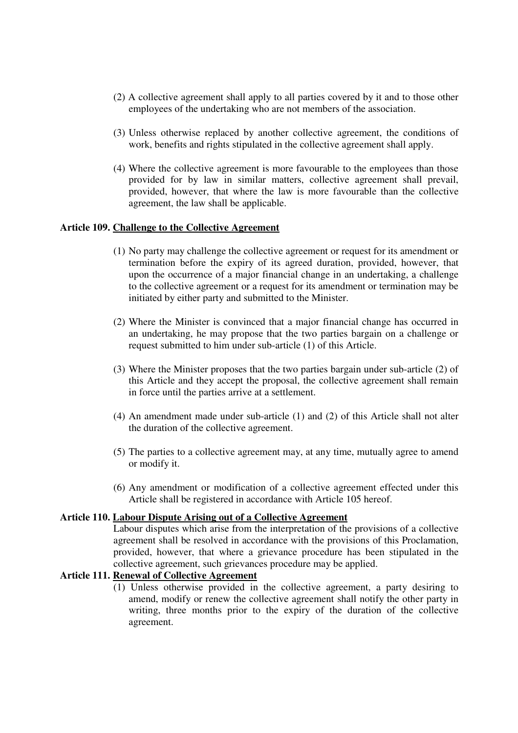- (2) A collective agreement shall apply to all parties covered by it and to those other employees of the undertaking who are not members of the association.
- (3) Unless otherwise replaced by another collective agreement, the conditions of work, benefits and rights stipulated in the collective agreement shall apply.
- (4) Where the collective agreement is more favourable to the employees than those provided for by law in similar matters, collective agreement shall prevail, provided, however, that where the law is more favourable than the collective agreement, the law shall be applicable.

## **Article 109. Challenge to the Collective Agreement**

- (1) No party may challenge the collective agreement or request for its amendment or termination before the expiry of its agreed duration, provided, however, that upon the occurrence of a major financial change in an undertaking, a challenge to the collective agreement or a request for its amendment or termination may be initiated by either party and submitted to the Minister.
- (2) Where the Minister is convinced that a major financial change has occurred in an undertaking, he may propose that the two parties bargain on a challenge or request submitted to him under sub-article (1) of this Article.
- (3) Where the Minister proposes that the two parties bargain under sub-article (2) of this Article and they accept the proposal, the collective agreement shall remain in force until the parties arrive at a settlement.
- (4) An amendment made under sub-article (1) and (2) of this Article shall not alter the duration of the collective agreement.
- (5) The parties to a collective agreement may, at any time, mutually agree to amend or modify it.
- (6) Any amendment or modification of a collective agreement effected under this Article shall be registered in accordance with Article 105 hereof.

### **Article 110. Labour Dispute Arising out of a Collective Agreement**

Labour disputes which arise from the interpretation of the provisions of a collective agreement shall be resolved in accordance with the provisions of this Proclamation, provided, however, that where a grievance procedure has been stipulated in the collective agreement, such grievances procedure may be applied.

# **Article 111. Renewal of Collective Agreement**

(1) Unless otherwise provided in the collective agreement, a party desiring to amend, modify or renew the collective agreement shall notify the other party in writing, three months prior to the expiry of the duration of the collective agreement.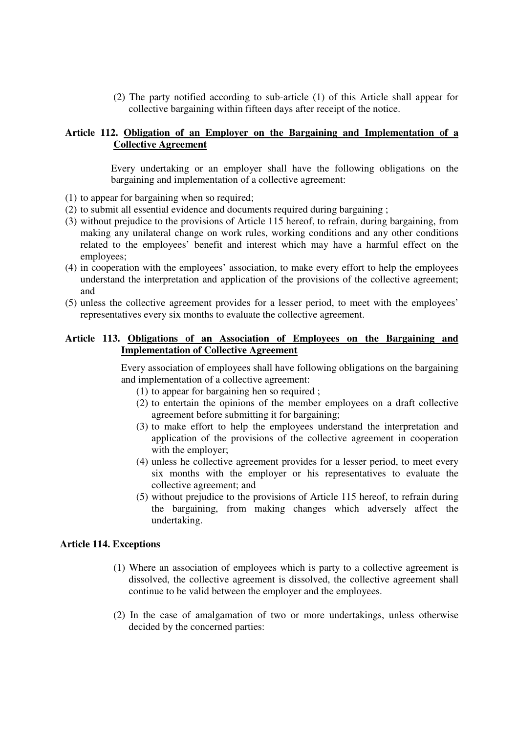(2) The party notified according to sub-article (1) of this Article shall appear for collective bargaining within fifteen days after receipt of the notice.

## **Article 112. Obligation of an Employer on the Bargaining and Implementation of a Collective Agreement**

Every undertaking or an employer shall have the following obligations on the bargaining and implementation of a collective agreement:

- (1) to appear for bargaining when so required;
- (2) to submit all essential evidence and documents required during bargaining ;
- (3) without prejudice to the provisions of Article 115 hereof, to refrain, during bargaining, from making any unilateral change on work rules, working conditions and any other conditions related to the employees' benefit and interest which may have a harmful effect on the employees;
- (4) in cooperation with the employees' association, to make every effort to help the employees understand the interpretation and application of the provisions of the collective agreement; and
- (5) unless the collective agreement provides for a lesser period, to meet with the employees' representatives every six months to evaluate the collective agreement.

# **Article 113. Obligations of an Association of Employees on the Bargaining and Implementation of Collective Agreement**

Every association of employees shall have following obligations on the bargaining and implementation of a collective agreement:

- (1) to appear for bargaining hen so required ;
- (2) to entertain the opinions of the member employees on a draft collective agreement before submitting it for bargaining;
- (3) to make effort to help the employees understand the interpretation and application of the provisions of the collective agreement in cooperation with the employer:
- (4) unless he collective agreement provides for a lesser period, to meet every six months with the employer or his representatives to evaluate the collective agreement; and
- (5) without prejudice to the provisions of Article 115 hereof, to refrain during the bargaining, from making changes which adversely affect the undertaking.

### **Article 114. Exceptions**

- (1) Where an association of employees which is party to a collective agreement is dissolved, the collective agreement is dissolved, the collective agreement shall continue to be valid between the employer and the employees.
- (2) In the case of amalgamation of two or more undertakings, unless otherwise decided by the concerned parties: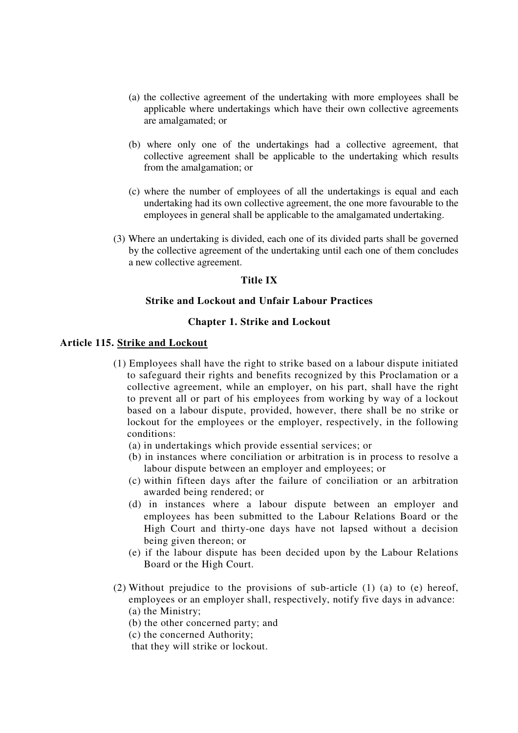- (a) the collective agreement of the undertaking with more employees shall be applicable where undertakings which have their own collective agreements are amalgamated; or
- (b) where only one of the undertakings had a collective agreement, that collective agreement shall be applicable to the undertaking which results from the amalgamation; or
- (c) where the number of employees of all the undertakings is equal and each undertaking had its own collective agreement, the one more favourable to the employees in general shall be applicable to the amalgamated undertaking.
- (3) Where an undertaking is divided, each one of its divided parts shall be governed by the collective agreement of the undertaking until each one of them concludes a new collective agreement.

# **Title IX**

# **Strike and Lockout and Unfair Labour Practices**

## **Chapter 1. Strike and Lockout**

### **Article 115. Strike and Lockout**

- (1) Employees shall have the right to strike based on a labour dispute initiated to safeguard their rights and benefits recognized by this Proclamation or a collective agreement, while an employer, on his part, shall have the right to prevent all or part of his employees from working by way of a lockout based on a labour dispute, provided, however, there shall be no strike or lockout for the employees or the employer, respectively, in the following conditions:
	- (a) in undertakings which provide essential services; or
	- (b) in instances where conciliation or arbitration is in process to resolve a labour dispute between an employer and employees; or
	- (c) within fifteen days after the failure of conciliation or an arbitration awarded being rendered; or
	- (d) in instances where a labour dispute between an employer and employees has been submitted to the Labour Relations Board or the High Court and thirty-one days have not lapsed without a decision being given thereon; or
	- (e) if the labour dispute has been decided upon by the Labour Relations Board or the High Court.
- (2) Without prejudice to the provisions of sub-article (1) (a) to (e) hereof, employees or an employer shall, respectively, notify five days in advance: (a) the Ministry;
	- (b) the other concerned party; and
	- (c) the concerned Authority;

that they will strike or lockout.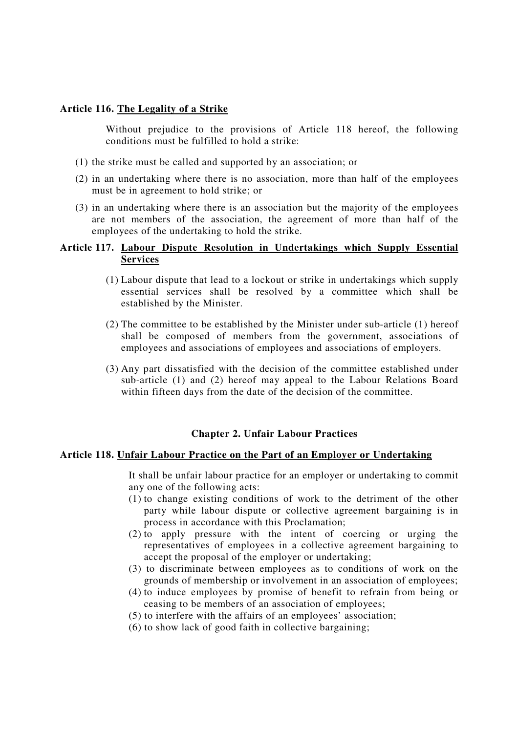# **Article 116. The Legality of a Strike**

Without prejudice to the provisions of Article 118 hereof, the following conditions must be fulfilled to hold a strike:

- (1) the strike must be called and supported by an association; or
- (2) in an undertaking where there is no association, more than half of the employees must be in agreement to hold strike; or
- (3) in an undertaking where there is an association but the majority of the employees are not members of the association, the agreement of more than half of the employees of the undertaking to hold the strike.

## **Article 117. Labour Dispute Resolution in Undertakings which Supply Essential Services**

- (1) Labour dispute that lead to a lockout or strike in undertakings which supply essential services shall be resolved by a committee which shall be established by the Minister.
- (2) The committee to be established by the Minister under sub-article (1) hereof shall be composed of members from the government, associations of employees and associations of employees and associations of employers.
- (3) Any part dissatisfied with the decision of the committee established under sub-article (1) and (2) hereof may appeal to the Labour Relations Board within fifteen days from the date of the decision of the committee.

### **Chapter 2. Unfair Labour Practices**

### **Article 118. Unfair Labour Practice on the Part of an Employer or Undertaking**

It shall be unfair labour practice for an employer or undertaking to commit any one of the following acts:

- (1) to change existing conditions of work to the detriment of the other party while labour dispute or collective agreement bargaining is in process in accordance with this Proclamation;
- (2) to apply pressure with the intent of coercing or urging the representatives of employees in a collective agreement bargaining to accept the proposal of the employer or undertaking;
- (3) to discriminate between employees as to conditions of work on the grounds of membership or involvement in an association of employees;
- (4) to induce employees by promise of benefit to refrain from being or ceasing to be members of an association of employees;
- (5) to interfere with the affairs of an employees' association;
- (6) to show lack of good faith in collective bargaining;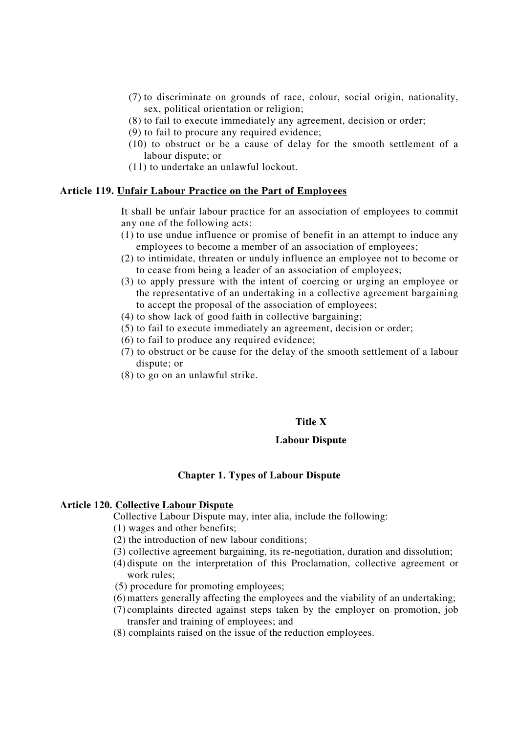- (7) to discriminate on grounds of race, colour, social origin, nationality, sex, political orientation or religion;
- (8) to fail to execute immediately any agreement, decision or order;
- (9) to fail to procure any required evidence;
- (10) to obstruct or be a cause of delay for the smooth settlement of a labour dispute; or
- (11) to undertake an unlawful lockout.

#### **Article 119. Unfair Labour Practice on the Part of Employees**

It shall be unfair labour practice for an association of employees to commit any one of the following acts:

- (1) to use undue influence or promise of benefit in an attempt to induce any employees to become a member of an association of employees;
- (2) to intimidate, threaten or unduly influence an employee not to become or to cease from being a leader of an association of employees;
- (3) to apply pressure with the intent of coercing or urging an employee or the representative of an undertaking in a collective agreement bargaining to accept the proposal of the association of employees;
- (4) to show lack of good faith in collective bargaining;
- (5) to fail to execute immediately an agreement, decision or order;
- (6) to fail to produce any required evidence;
- (7) to obstruct or be cause for the delay of the smooth settlement of a labour dispute; or
- (8) to go on an unlawful strike.

#### **Title X**

#### **Labour Dispute**

### **Chapter 1. Types of Labour Dispute**

#### **Article 120. Collective Labour Dispute**

Collective Labour Dispute may, inter alia, include the following:

(1) wages and other benefits;

- (2) the introduction of new labour conditions;
- (3) collective agreement bargaining, its re-negotiation, duration and dissolution;
- (4) dispute on the interpretation of this Proclamation, collective agreement or work rules;
- (5) procedure for promoting employees;
- (6)matters generally affecting the employees and the viability of an undertaking;
- (7) complaints directed against steps taken by the employer on promotion, job transfer and training of employees; and
- (8) complaints raised on the issue of the reduction employees.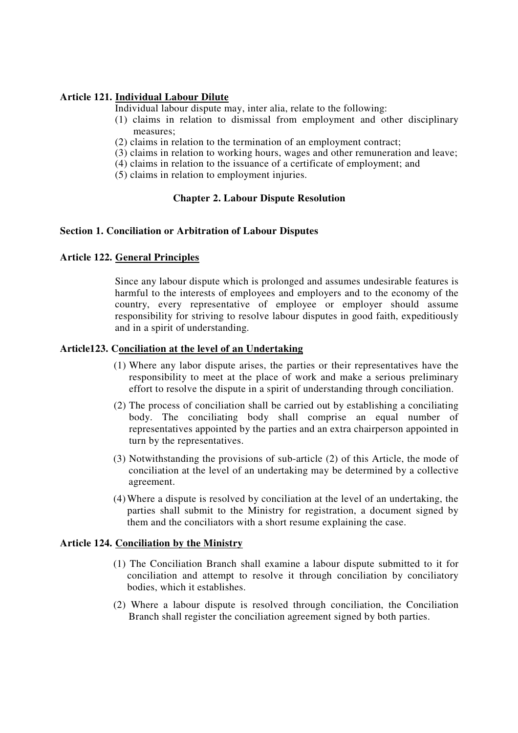## **Article 121. Individual Labour Dilute**

Individual labour dispute may, inter alia, relate to the following:

- (1) claims in relation to dismissal from employment and other disciplinary measures;
- (2) claims in relation to the termination of an employment contract;
- (3) claims in relation to working hours, wages and other remuneration and leave;
- (4) claims in relation to the issuance of a certificate of employment; and
- (5) claims in relation to employment injuries.

## **Chapter 2. Labour Dispute Resolution**

## **Section 1. Conciliation or Arbitration of Labour Disputes**

## **Article 122. General Principles**

Since any labour dispute which is prolonged and assumes undesirable features is harmful to the interests of employees and employers and to the economy of the country, every representative of employee or employer should assume responsibility for striving to resolve labour disputes in good faith, expeditiously and in a spirit of understanding.

## **Article123. Conciliation at the level of an Undertaking**

- (1) Where any labor dispute arises, the parties or their representatives have the responsibility to meet at the place of work and make a serious preliminary effort to resolve the dispute in a spirit of understanding through conciliation.
- (2) The process of conciliation shall be carried out by establishing a conciliating body. The conciliating body shall comprise an equal number of representatives appointed by the parties and an extra chairperson appointed in turn by the representatives.
- (3) Notwithstanding the provisions of sub-article (2) of this Article, the mode of conciliation at the level of an undertaking may be determined by a collective agreement.
- (4)Where a dispute is resolved by conciliation at the level of an undertaking, the parties shall submit to the Ministry for registration, a document signed by them and the conciliators with a short resume explaining the case.

### **Article 124. Conciliation by the Ministry**

- (1) The Conciliation Branch shall examine a labour dispute submitted to it for conciliation and attempt to resolve it through conciliation by conciliatory bodies, which it establishes.
- (2) Where a labour dispute is resolved through conciliation, the Conciliation Branch shall register the conciliation agreement signed by both parties.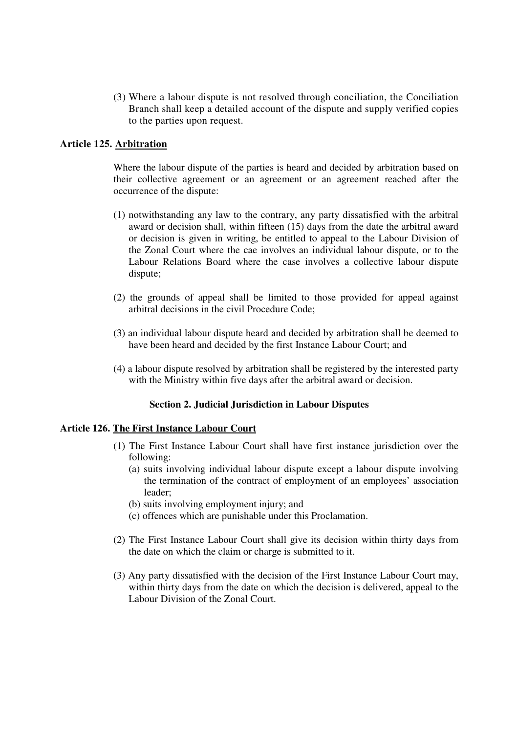(3) Where a labour dispute is not resolved through conciliation, the Conciliation Branch shall keep a detailed account of the dispute and supply verified copies to the parties upon request.

## **Article 125. Arbitration**

Where the labour dispute of the parties is heard and decided by arbitration based on their collective agreement or an agreement or an agreement reached after the occurrence of the dispute:

- (1) notwithstanding any law to the contrary, any party dissatisfied with the arbitral award or decision shall, within fifteen (15) days from the date the arbitral award or decision is given in writing, be entitled to appeal to the Labour Division of the Zonal Court where the cae involves an individual labour dispute, or to the Labour Relations Board where the case involves a collective labour dispute dispute;
- (2) the grounds of appeal shall be limited to those provided for appeal against arbitral decisions in the civil Procedure Code;
- (3) an individual labour dispute heard and decided by arbitration shall be deemed to have been heard and decided by the first Instance Labour Court; and
- (4) a labour dispute resolved by arbitration shall be registered by the interested party with the Ministry within five days after the arbitral award or decision.

### **Section 2. Judicial Jurisdiction in Labour Disputes**

## **Article 126. The First Instance Labour Court**

- (1) The First Instance Labour Court shall have first instance jurisdiction over the following:
	- (a) suits involving individual labour dispute except a labour dispute involving the termination of the contract of employment of an employees' association leader;
	- (b) suits involving employment injury; and
	- (c) offences which are punishable under this Proclamation.
- (2) The First Instance Labour Court shall give its decision within thirty days from the date on which the claim or charge is submitted to it.
- (3) Any party dissatisfied with the decision of the First Instance Labour Court may, within thirty days from the date on which the decision is delivered, appeal to the Labour Division of the Zonal Court.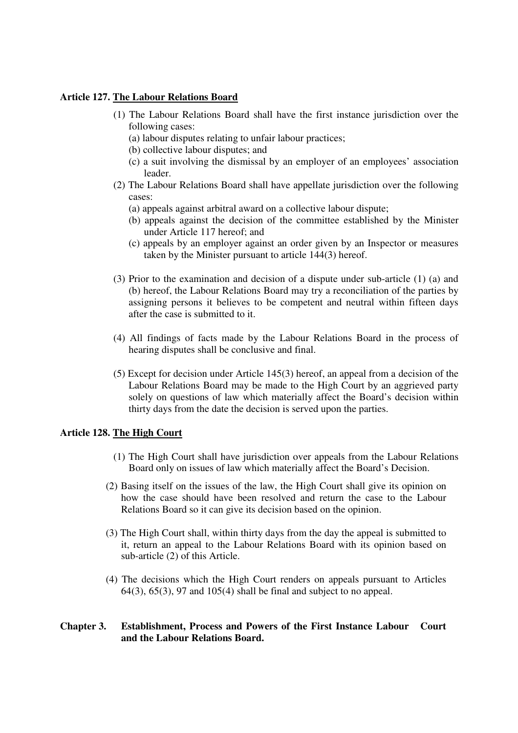### **Article 127. The Labour Relations Board**

- (1) The Labour Relations Board shall have the first instance jurisdiction over the following cases:
	- (a) labour disputes relating to unfair labour practices;
	- (b) collective labour disputes; and
	- (c) a suit involving the dismissal by an employer of an employees' association leader.
- (2) The Labour Relations Board shall have appellate jurisdiction over the following cases:
	- (a) appeals against arbitral award on a collective labour dispute;
	- (b) appeals against the decision of the committee established by the Minister under Article 117 hereof; and
	- (c) appeals by an employer against an order given by an Inspector or measures taken by the Minister pursuant to article 144(3) hereof.
- (3) Prior to the examination and decision of a dispute under sub-article (1) (a) and (b) hereof, the Labour Relations Board may try a reconciliation of the parties by assigning persons it believes to be competent and neutral within fifteen days after the case is submitted to it.
- (4) All findings of facts made by the Labour Relations Board in the process of hearing disputes shall be conclusive and final.
- (5) Except for decision under Article 145(3) hereof, an appeal from a decision of the Labour Relations Board may be made to the High Court by an aggrieved party solely on questions of law which materially affect the Board's decision within thirty days from the date the decision is served upon the parties.

# **Article 128. The High Court**

- (1) The High Court shall have jurisdiction over appeals from the Labour Relations Board only on issues of law which materially affect the Board's Decision.
- (2) Basing itself on the issues of the law, the High Court shall give its opinion on how the case should have been resolved and return the case to the Labour Relations Board so it can give its decision based on the opinion.
- (3) The High Court shall, within thirty days from the day the appeal is submitted to it, return an appeal to the Labour Relations Board with its opinion based on sub-article (2) of this Article.
- (4) The decisions which the High Court renders on appeals pursuant to Articles 64(3), 65(3), 97 and 105(4) shall be final and subject to no appeal.

# **Chapter 3. Establishment, Process and Powers of the First Instance Labour Court and the Labour Relations Board.**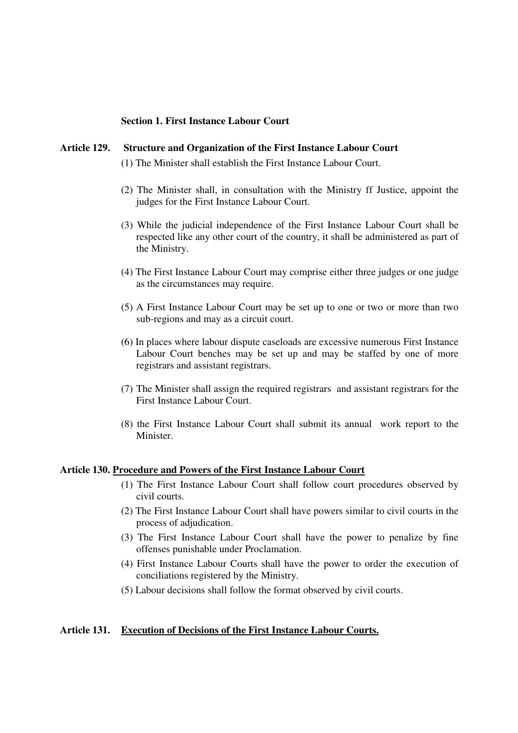### **Section 1. First Instance Labour Court**

## **Article 129. Structure and Organization of the First Instance Labour Court**

(1) The Minister shall establish the First Instance Labour Court.

- (2) The Minister shall, in consultation with the Ministry ff Justice, appoint the judges for the First Instance Labour Court.
- (3) While the judicial independence of the First Instance Labour Court shall be respected like any other court of the country, it shall be administered as part of the Ministry.
- (4) The First Instance Labour Court may comprise either three judges or one judge as the circumstances may require.
- (5) A First Instance Labour Court may be set up to one or two or more than two sub-regions and may as a circuit court.
- (6) In places where labour dispute caseloads are excessive numerous First Instance Labour Court benches may be set up and may be staffed by one of more registrars and assistant registrars.
- (7) The Minister shall assign the required registrars and assistant registrars for the First Instance Labour Court.
- (8) the First Instance Labour Court shall submit its annual work report to the Minister.

#### **Article 130. Procedure and Powers of the First Instance Labour Court**

- (1) The First Instance Labour Court shall follow court procedures observed by civil courts.
- (2) The First Instance Labour Court shall have powers similar to civil courts in the process of adjudication.
- (3) The First Instance Labour Court shall have the power to penalize by fine offenses punishable under Proclamation.
- (4) First Instance Labour Courts shall have the power to order the execution of conciliations registered by the Ministry.
- (5) Labour decisions shall follow the format observed by civil courts.

#### **Article 131. Execution of Decisions of the First Instance Labour Courts.**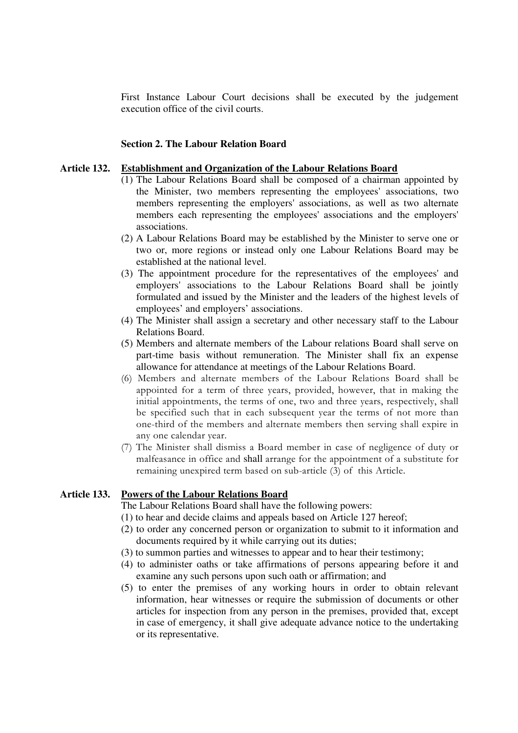First Instance Labour Court decisions shall be executed by the judgement execution office of the civil courts.

#### **Section 2. The Labour Relation Board**

## **Article 132. Establishment and Organization of the Labour Relations Board**

- (1) The Labour Relations Board shall be composed of a chairman appointed by the Minister, two members representing the employees'associations, two members representing the employers'associations, as well as two alternate members each representing the employees'associations and the employers' associations.
- (2) A Labour Relations Board may be established by the Minister to serve one or two or, more regions or instead only one Labour Relations Board may be established at the national level.
- (3) The appointment procedure for the representatives of the employees'and employers'associations to the Labour Relations Board shall be jointly formulated and issued by the Minister and the leaders of the highest levels of employees' and employers' associations.
- (4) The Minister shall assign a secretary and other necessary staff to the Labour Relations Board.
- (5) Members and alternate members of the Labour relations Board shall serve on part-time basis without remuneration. The Minister shall fix an expense allowance for attendance at meetings of the Labour Relations Board.
- (6) Members and alternate members of the Labour Relations Board shall be appointed for a term of three years, provided, however, that in making the initial appointments, the terms of one, two and three years, respectively, shall be specified such that in each subsequent year the terms of not more than one-third of the members and alternate members then serving shall expire in any one calendar year.
- (7) The Minister shall dismiss a Board member in case of negligence of duty or malfeasance in office and shall arrange for the appointment of a substitute for remaining unexpired term based on sub-article (3) of this Article.

#### **Article 133. Powers of the Labour Relations Board**

The Labour Relations Board shall have the following powers:

- (1) to hear and decide claims and appeals based on Article 127 hereof;
- (2) to order any concerned person or organization to submit to it information and documents required by it while carrying out its duties;
- (3) to summon parties and witnesses to appear and to hear their testimony;
- (4) to administer oaths or take affirmations of persons appearing before it and examine any such persons upon such oath or affirmation; and
- (5) to enter the premises of any working hours in order to obtain relevant information, hear witnesses or require the submission of documents or other articles for inspection from any person in the premises, provided that, except in case of emergency, it shall give adequate advance notice to the undertaking or its representative.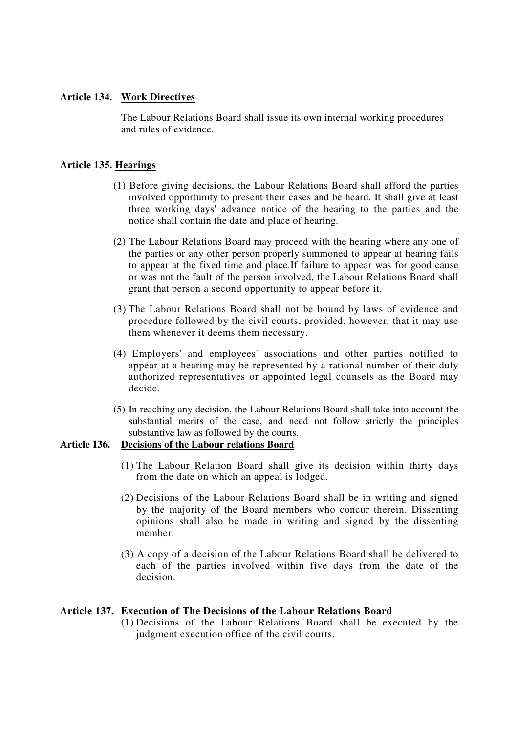## **Article 134. Work Directives**

The Labour Relations Board shall issue its own internal working procedures and rules of evidence.

## **Article 135. Hearings**

- (1) Before giving decisions, the Labour Relations Board shall afford the parties involved opportunity to present their cases and be heard. It shall give at least three working days'advance notice of the hearing to the parties and the notice shall contain the date and place of hearing.
- (2) The Labour Relations Board may proceed with the hearing where any one of the parties or any other person properly summoned to appear at hearing fails to appear at the fixed time and place.If failure to appear was for good cause or was not the fault of the person involved, the Labour Relations Board shall grant that person a second opportunity to appear before it.
- (3) The Labour Relations Board shall not be bound by laws of evidence and procedure followed by the civil courts, provided, however, that it may use them whenever it deems them necessary.
- (4) Employers'and employees'associations and other parties notified to appear at a hearing may be represented by a rational number of their duly authorized representatives or appointed legal counsels as the Board may decide.
- (5) In reaching any decision, the Labour Relations Board shall take into account the substantial merits of the case, and need not follow strictly the principles substantive law as followed by the courts.

## **Article 136. Decisions of the Labour relations Board**

- (1) The Labour Relation Board shall give its decision within thirty days from the date on which an appeal is lodged.
- (2) Decisions of the Labour Relations Board shall be in writing and signed by the majority of the Board members who concur therein. Dissenting opinions shall also be made in writing and signed by the dissenting member.
- (3) A copy of a decision of the Labour Relations Board shall be delivered to each of the parties involved within five days from the date of the decision.

### **Article 137. Execution of The Decisions of the Labour Relations Board**

(1) Decisions of the Labour Relations Board shall be executed by the judgment execution office of the civil courts.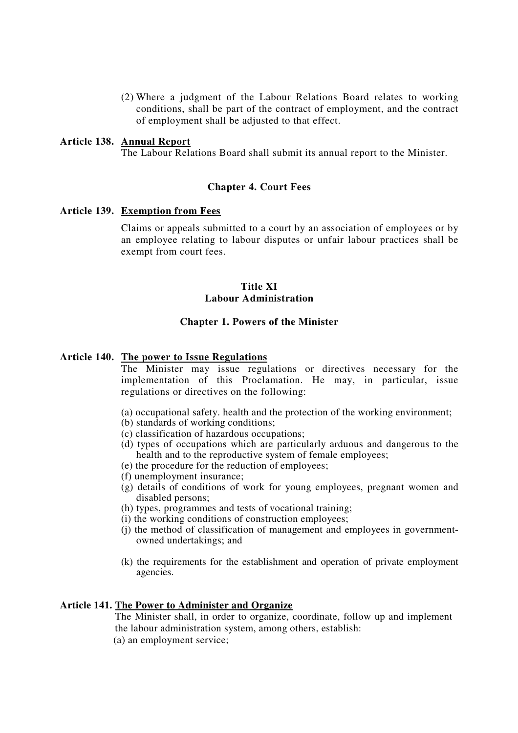(2) Where a judgment of the Labour Relations Board relates to working conditions, shall be part of the contract of employment, and the contract of employment shall be adjusted to that effect.

## **Article 138. Annual Report**

The Labour Relations Board shall submit its annual report to the Minister.

### **Chapter 4. Court Fees**

#### **Article 139. Exemption from Fees**

Claims or appeals submitted to a court by an association of employees or by an employee relating to labour disputes or unfair labour practices shall be exempt from court fees.

## **Title XI Labour Administration**

#### **Chapter 1. Powers of the Minister**

## **Article 140. The power to Issue Regulations**

The Minister may issue regulations or directives necessary for the implementation of this Proclamation. He may, in particular, issue regulations or directives on the following:

- (a) occupational safety. health and the protection of the working environment;
- (b) standards of working conditions;
- (c) classification of hazardous occupations;
- (d) types of occupations which are particularly arduous and dangerous to the health and to the reproductive system of female employees;
- (e) the procedure for the reduction of employees;
- (f) unemployment insurance;
- (g) details of conditions of work for young employees, pregnant women and disabled persons;
- (h) types, programmes and tests of vocational training;
- (i) the working conditions of construction employees;
- (j) the method of classification of management and employees in governmentowned undertakings; and
- (k) the requirements for the establishment and operation of private employment agencies.

### **Article 141. The Power to Administer and Organize**

The Minister shall, in order to organize, coordinate, follow up and implement the labour administration system, among others, establish: (a) an employment service;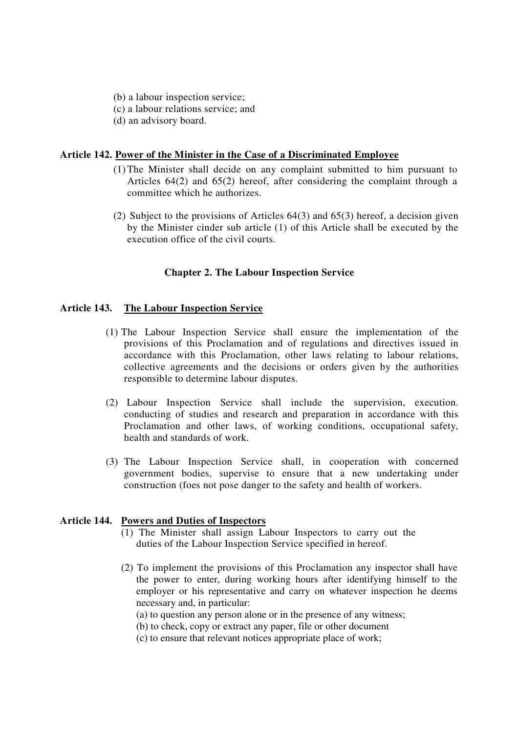- (b) a labour inspection service;
- (c) a labour relations service; and
- (d) an advisory board.

## **Article 142. Power of the Minister in the Case of a Discriminated Employee**

- (1)The Minister shall decide on any complaint submitted to him pursuant to Articles 64(2) and 65(2) hereof, after considering the complaint through a committee which he authorizes.
- (2) Subject to the provisions of Articles 64(3) and 65(3) hereof, a decision given by the Minister cinder sub article (1) of this Article shall be executed by the execution office of the civil courts.

## **Chapter 2. The Labour Inspection Service**

## **Article 143. The Labour Inspection Service**

- (1) The Labour Inspection Service shall ensure the implementation of the provisions of this Proclamation and of regulations and directives issued in accordance with this Proclamation, other laws relating to labour relations, collective agreements and the decisions or orders given by the authorities responsible to determine labour disputes.
- (2) Labour Inspection Service shall include the supervision, execution. conducting of studies and research and preparation in accordance with this Proclamation and other laws, of working conditions, occupational safety, health and standards of work.
- (3) The Labour Inspection Service shall, in cooperation with concerned government bodies, supervise to ensure that a new undertaking under construction (foes not pose danger to the safety and health of workers.

### **Article 144. Powers and Duties of Inspectors**

- (1) The Minister shall assign Labour Inspectors to carry out the duties of the Labour Inspection Service specified in hereof.
- (2) To implement the provisions of this Proclamation any inspector shall have the power to enter, during working hours after identifying himself to the employer or his representative and carry on whatever inspection he deems necessary and, in particular:
	- (a) to question any person alone or in the presence of any witness;
	- (b) to check, copy or extract any paper, file or other document
	- (c) to ensure that relevant notices appropriate place of work;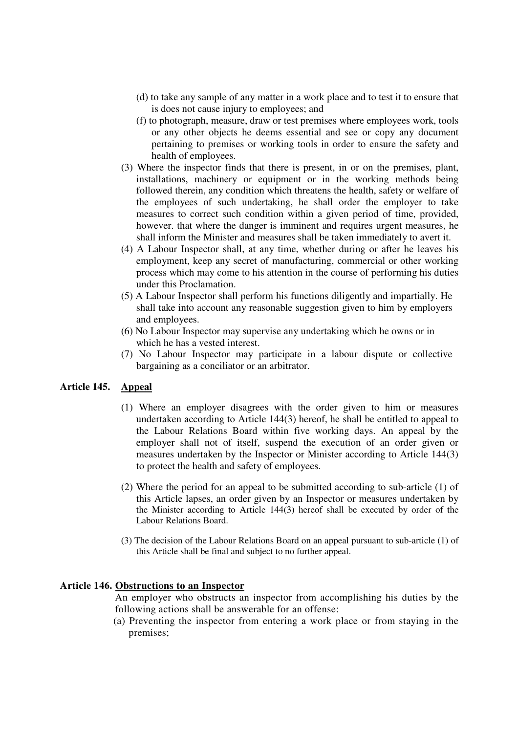- (d) to take any sample of any matter in a work place and to test it to ensure that is does not cause injury to employees; and
- (f) to photograph, measure, draw or test premises where employees work, tools or any other objects he deems essential and see or copy any document pertaining to premises or working tools in order to ensure the safety and health of employees.
- (3) Where the inspector finds that there is present, in or on the premises, plant, installations, machinery or equipment or in the working methods being followed therein, any condition which threatens the health, safety or welfare of the employees of such undertaking, he shall order the employer to take measures to correct such condition within a given period of time, provided, however. that where the danger is imminent and requires urgent measures, he shall inform the Minister and measures shall be taken immediately to avert it.
- (4) A Labour Inspector shall, at any time, whether during or after he leaves his employment, keep any secret of manufacturing, commercial or other working process which may come to his attention in the course of performing his duties under this Proclamation.
- (5) A Labour Inspector shall perform his functions diligently and impartially. He shall take into account any reasonable suggestion given to him by employers and employees.
- (6) No Labour Inspector may supervise any undertaking which he owns or in which he has a vested interest.
- (7) No Labour Inspector may participate in a labour dispute or collective bargaining as a conciliator or an arbitrator.

# **Article 145. Appeal**

- (1) Where an employer disagrees with the order given to him or measures undertaken according to Article 144(3) hereof, he shall be entitled to appeal to the Labour Relations Board within five working days. An appeal by the employer shall not of itself, suspend the execution of an order given or measures undertaken by the Inspector or Minister according to Article 144(3) to protect the health and safety of employees.
- (2) Where the period for an appeal to be submitted according to sub-article (1) of this Article lapses, an order given by an Inspector or measures undertaken by the Minister according to Article 144(3) hereof shall be executed by order of the Labour Relations Board.
- (3) The decision of the Labour Relations Board on an appeal pursuant to sub-article (1) of this Article shall be final and subject to no further appeal.

### **Article 146. Obstructions to an Inspector**

An employer who obstructs an inspector from accomplishing his duties by the following actions shall be answerable for an offense:

(a) Preventing the inspector from entering a work place or from staying in the premises;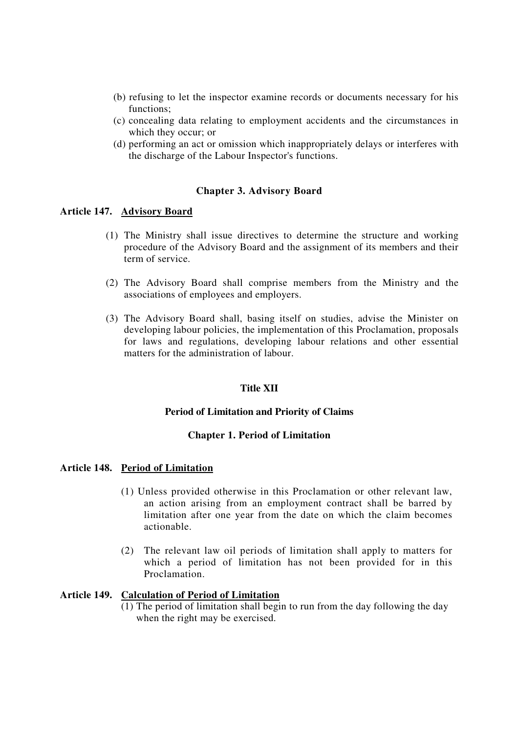- (b) refusing to let the inspector examine records or documents necessary for his functions;
- (c) concealing data relating to employment accidents and the circumstances in which they occur; or
- (d) performing an act or omission which inappropriately delays or interferes with the discharge of the Labour Inspector's functions.

### **Chapter 3. Advisory Board**

### **Article 147. Advisory Board**

- (1) The Ministry shall issue directives to determine the structure and working procedure of the Advisory Board and the assignment of its members and their term of service.
- (2) The Advisory Board shall comprise members from the Ministry and the associations of employees and employers.
- (3) The Advisory Board shall, basing itself on studies, advise the Minister on developing labour policies, the implementation of this Proclamation, proposals for laws and regulations, developing labour relations and other essential matters for the administration of labour.

## **Title XII**

### **Period of Limitation and Priority of Claims**

### **Chapter 1. Period of Limitation**

## **Article 148. Period of Limitation**

- (1) Unless provided otherwise in this Proclamation or other relevant law, an action arising from an employment contract shall be barred by limitation after one year from the date on which the claim becomes actionable.
- (2) The relevant law oil periods of limitation shall apply to matters for which a period of limitation has not been provided for in this Proclamation.

# **Article 149. Calculation of Period of Limitation**

(1) The period of limitation shall begin to run from the day following the day when the right may be exercised.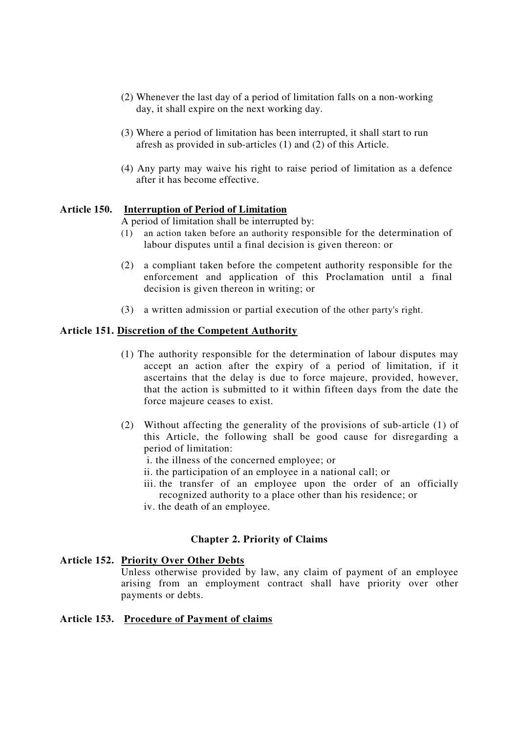- (2) Whenever the last day of a period of limitation falls on a non-working day, it shall expire on the next working day.
- (3) Where a period of limitation has been interrupted, it shall start to run afresh as provided in sub-articles (1) and (2) of this Article.
- (4) Any party may waive his right to raise period of limitation as a defence after it has become effective.

## **Article 150. Interruption of Period of Limitation**

A period of limitation shall be interrupted by:

- (1) an action taken before an authority responsible for the determination of labour disputes until a final decision is given thereon: or
- (2) a compliant taken before the competent authority responsible for the enforcement and application of this Proclamation until a final decision is given thereon in writing; or
- (3) a written admission or partial execution of the other party's right.

### **Article 151. Discretion of the Competent Authority**

- (1) The authority responsible for the determination of labour disputes may accept an action after the expiry of a period of limitation, if it ascertains that the delay is due to force majeure, provided, however, that the action is submitted to it within fifteen days from the date the force majeure ceases to exist.
- (2) Without affecting the generality of the provisions of sub-article (1) of this Article, the following shall be good cause for disregarding a period of limitation:
	- i. the illness of the concerned employee; or
	- ii. the participation of an employee in a national call; or
	- iii. the transfer of an employee upon the order of an officially recognized authority to a place other than his residence; or
	- iv. the death of an employee.

### **Chapter 2. Priority of Claims**

### **Article 152. Priority Over Other Debts**

Unless otherwise provided by law, any claim of payment of an employee arising from an employment contract shall have priority over other payments or debts.

### **Article 153. Procedure of Payment of claims**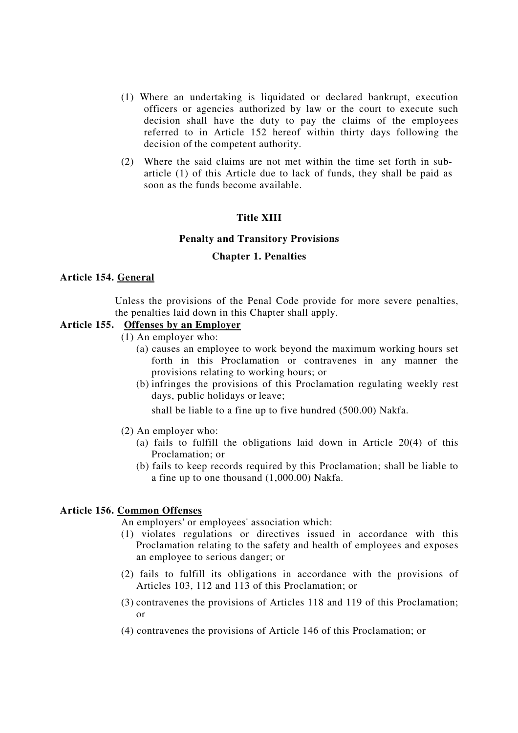- (1) Where an undertaking is liquidated or declared bankrupt, execution officers or agencies authorized by law or the court to execute such decision shall have the duty to pay the claims of the employees referred to in Article 152 hereof within thirty days following the decision of the competent authority.
- (2) Where the said claims are not met within the time set forth in subarticle (1) of this Article due to lack of funds, they shall be paid as soon as the funds become available.

## **Title XIII**

#### **Penalty and Transitory Provisions**

#### **Chapter 1. Penalties**

## **Article 154. General**

Unless the provisions of the Penal Code provide for more severe penalties, the penalties laid down in this Chapter shall apply.

## **Article 155. Offenses by an Employer**

- (1) An employer who:
	- (a) causes an employee to work beyond the maximum working hours set forth in this Proclamation or contravenes in any manner the provisions relating to working hours; or
	- (b) infringes the provisions of this Proclamation regulating weekly rest days, public holidays or leave;

shall be liable to a fine up to five hundred (500.00) Nakfa.

- (2) An employer who:
	- (a) fails to fulfill the obligations laid down in Article 20(4) of this Proclamation; or
	- (b) fails to keep records required by this Proclamation; shall be liable to a fine up to one thousand (1,000.00) Nakfa.

#### **Article 156. Common Offenses**

An employers'or employees'association which:

- (1) violates regulations or directives issued in accordance with this Proclamation relating to the safety and health of employees and exposes an employee to serious danger; or
- (2) fails to fulfill its obligations in accordance with the provisions of Articles 103, 112 and 113 of this Proclamation; or
- (3) contravenes the provisions of Articles 118 and 119 of this Proclamation; or
- (4) contravenes the provisions of Article 146 of this Proclamation; or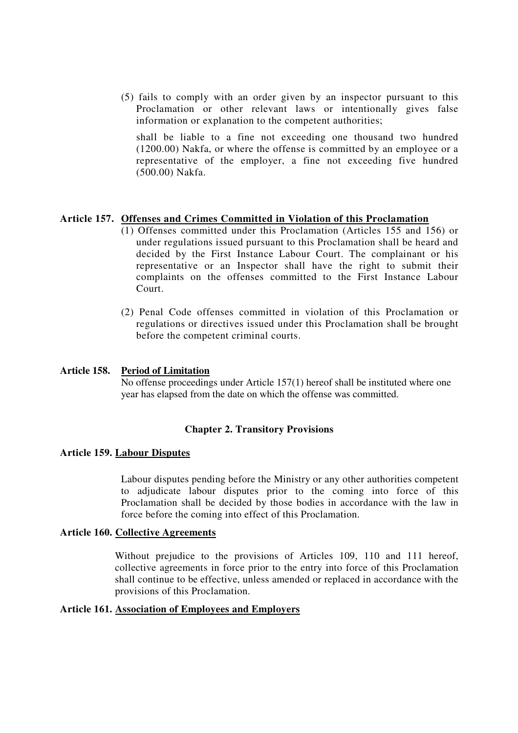(5) fails to comply with an order given by an inspector pursuant to this Proclamation or other relevant laws or intentionally gives false information or explanation to the competent authorities;

shall be liable to a fine not exceeding one thousand two hundred (1200.00) Nakfa, or where the offense is committed by an employee or a representative of the employer, a fine not exceeding five hundred (500.00) Nakfa.

## **Article 157. Offenses and Crimes Committed in Violation of this Proclamation**

- (1) Offenses committed under this Proclamation (Articles 155 and 156) or under regulations issued pursuant to this Proclamation shall be heard and decided by the First Instance Labour Court. The complainant or his representative or an Inspector shall have the right to submit their complaints on the offenses committed to the First Instance Labour Court.
- (2) Penal Code offenses committed in violation of this Proclamation or regulations or directives issued under this Proclamation shall be brought before the competent criminal courts.

## **Article 158. Period of Limitation**

No offense proceedings under Article 157(1) hereof shall be instituted where one year has elapsed from the date on which the offense was committed.

# **Chapter 2. Transitory Provisions**

### **Article 159. Labour Disputes**

Labour disputes pending before the Ministry or any other authorities competent to adjudicate labour disputes prior to the coming into force of this Proclamation shall be decided by those bodies in accordance with the law in force before the coming into effect of this Proclamation.

### **Article 160. Collective Agreements**

Without prejudice to the provisions of Articles 109, 110 and 111 hereof, collective agreements in force prior to the entry into force of this Proclamation shall continue to be effective, unless amended or replaced in accordance with the provisions of this Proclamation.

## **Article 161. Association of Employees and Employers**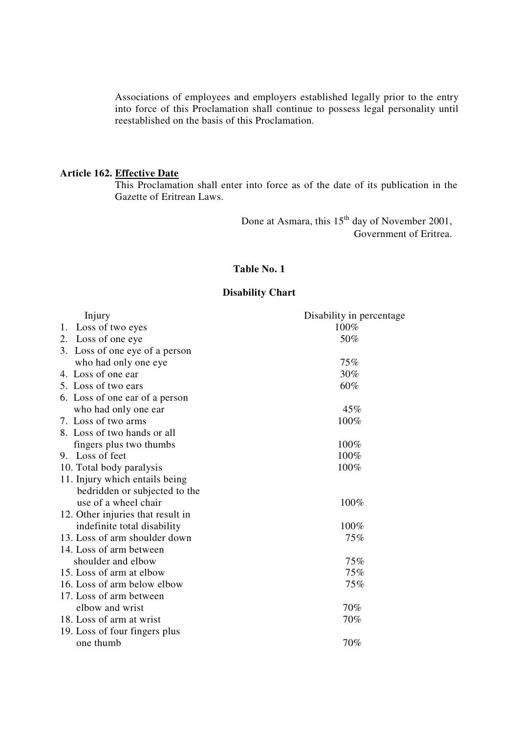Associations of employees and employers established legally prior to the entry into force of this Proclamation shall continue to possess legal personality until reestablished on the basis of this Proclamation.

## **Article 162. Effective Date**

This Proclamation shall enter into force as of the date of its publication in the Gazette of Eritrean Laws.

> Done at Asmara, this 15<sup>th</sup> day of November 2001, Government of Eritrea.

## **Table No. 1**

# **Disability Chart**

| Injury                            | Disability in percentage |
|-----------------------------------|--------------------------|
| 1. Loss of two eyes               | 100%                     |
| Loss of one eye<br>2.             | 50%                      |
| 3. Loss of one eye of a person    |                          |
| who had only one eye              | 75%                      |
| 4. Loss of one ear                | 30%                      |
| 5. Loss of two ears               | 60%                      |
| 6. Loss of one ear of a person    |                          |
| who had only one ear              | 45%                      |
| 7. Loss of two arms               | 100%                     |
| 8. Loss of two hands or all       |                          |
| fingers plus two thumbs           | 100%                     |
| 9. Loss of feet                   | 100%                     |
| 10. Total body paralysis          | 100%                     |
| 11. Injury which entails being    |                          |
| bedridden or subjected to the     |                          |
| use of a wheel chair              | 100%                     |
| 12. Other injuries that result in |                          |
| indefinite total disability       | 100%                     |
| 13. Loss of arm shoulder down     | 75%                      |
| 14. Loss of arm between           |                          |
| shoulder and elbow                | 75%                      |
| 15. Loss of arm at elbow          | 75%                      |
| 16. Loss of arm below elbow       | 75%                      |
| 17. Loss of arm between           |                          |
| elbow and wrist                   | 70%                      |
| 18. Loss of arm at wrist          | 70%                      |
| 19. Loss of four fingers plus     |                          |
| one thumb                         | 70%                      |